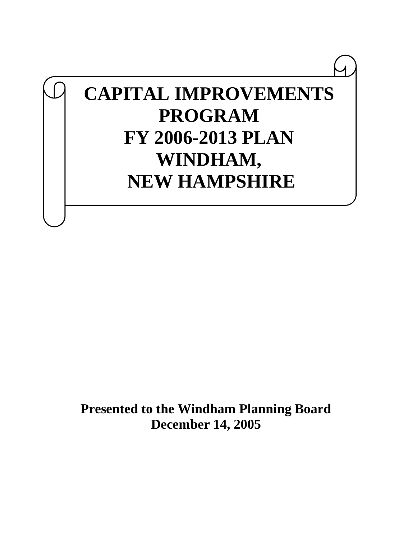# **CAPITAL IMPROVEMENTS PROGRAM FY 2006-2013 PLAN WINDHAM, NEW HAMPSHIRE**

**Presented to the Windham Planning Board December 14, 2005**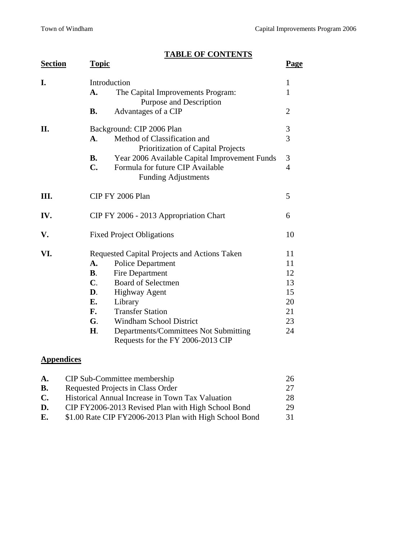## **TABLE OF CONTENTS**

| <b>Section</b> | <b>Topic</b>   |                                                                            | <b>Page</b>    |  |  |  |  |
|----------------|----------------|----------------------------------------------------------------------------|----------------|--|--|--|--|
| I.             |                | Introduction                                                               | $\mathbf{1}$   |  |  |  |  |
|                | A.             | The Capital Improvements Program:<br>Purpose and Description               |                |  |  |  |  |
|                | <b>B.</b>      | Advantages of a CIP                                                        | $\overline{2}$ |  |  |  |  |
| II.            |                | Background: CIP 2006 Plan                                                  | 3              |  |  |  |  |
|                | <b>A</b> .     | Method of Classification and<br>Prioritization of Capital Projects         | 3              |  |  |  |  |
|                | <b>B.</b>      | Year 2006 Available Capital Improvement Funds                              | 3              |  |  |  |  |
|                | $\mathbf{C}$ . | Formula for future CIP Available<br><b>Funding Adjustments</b>             | $\overline{4}$ |  |  |  |  |
| Ш.             |                | CIP FY 2006 Plan                                                           |                |  |  |  |  |
| IV.            |                | CIP FY 2006 - 2013 Appropriation Chart                                     | 6              |  |  |  |  |
| V.             |                | <b>Fixed Project Obligations</b>                                           | 10             |  |  |  |  |
| VI.            |                | Requested Capital Projects and Actions Taken                               | 11             |  |  |  |  |
|                | A.             | <b>Police Department</b>                                                   | 11             |  |  |  |  |
|                | $\mathbf{B}$ . | Fire Department                                                            | 12             |  |  |  |  |
|                | $\mathbf{C}$ . | <b>Board of Selectmen</b>                                                  | 13             |  |  |  |  |
|                | D.             | <b>Highway Agent</b>                                                       | 15             |  |  |  |  |
|                | E.             | Library                                                                    | 20             |  |  |  |  |
|                | F.             | <b>Transfer Station</b>                                                    | 21             |  |  |  |  |
|                | G.             | <b>Windham School District</b>                                             | 23             |  |  |  |  |
|                | Η.             | Departments/Committees Not Submitting<br>Requests for the FY 2006-2013 CIP | 24             |  |  |  |  |

## **Appendices**

| A.             | CIP Sub-Committee membership                           | 26  |
|----------------|--------------------------------------------------------|-----|
| В.             | Requested Projects in Class Order                      | 27  |
| $\mathbf{C}$ . | Historical Annual Increase in Town Tax Valuation       | 28  |
| D.             | CIP FY2006-2013 Revised Plan with High School Bond     | 29  |
| E.             | \$1.00 Rate CIP FY2006-2013 Plan with High School Bond | -31 |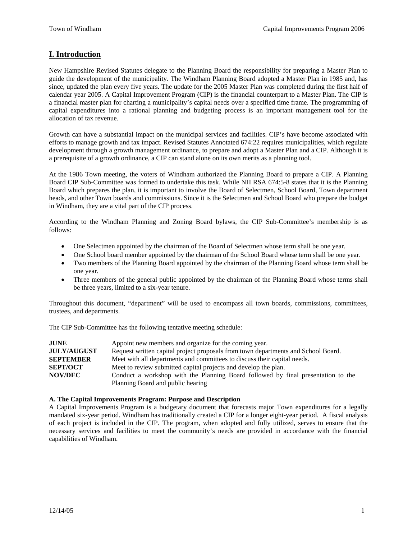## **I. Introduction**

New Hampshire Revised Statutes delegate to the Planning Board the responsibility for preparing a Master Plan to guide the development of the municipality. The Windham Planning Board adopted a Master Plan in 1985 and, has since, updated the plan every five years. The update for the 2005 Master Plan was completed during the first half of calendar year 2005. A Capital Improvement Program (CIP) is the financial counterpart to a Master Plan. The CIP is a financial master plan for charting a municipality's capital needs over a specified time frame. The programming of capital expenditures into a rational planning and budgeting process is an important management tool for the allocation of tax revenue.

Growth can have a substantial impact on the municipal services and facilities. CIP's have become associated with efforts to manage growth and tax impact. Revised Statutes Annotated 674:22 requires municipalities, which regulate development through a growth management ordinance, to prepare and adopt a Master Plan and a CIP. Although it is a prerequisite of a growth ordinance, a CIP can stand alone on its own merits as a planning tool.

At the 1986 Town meeting, the voters of Windham authorized the Planning Board to prepare a CIP. A Planning Board CIP Sub-Committee was formed to undertake this task. While NH RSA 674:5-8 states that it is the Planning Board which prepares the plan, it is important to involve the Board of Selectmen, School Board, Town department heads, and other Town boards and commissions. Since it is the Selectmen and School Board who prepare the budget in Windham, they are a vital part of the CIP process.

According to the Windham Planning and Zoning Board bylaws, the CIP Sub-Committee's membership is as follows:

- One Selectmen appointed by the chairman of the Board of Selectmen whose term shall be one year.
- One School board member appointed by the chairman of the School Board whose term shall be one year.
- Two members of the Planning Board appointed by the chairman of the Planning Board whose term shall be one year.
- Three members of the general public appointed by the chairman of the Planning Board whose terms shall be three years, limited to a six-year tenure.

Throughout this document, "department" will be used to encompass all town boards, commissions, committees, trustees, and departments.

The CIP Sub-Committee has the following tentative meeting schedule:

| <b>JUNE</b>        | Appoint new members and organize for the coming year.                             |
|--------------------|-----------------------------------------------------------------------------------|
| <b>JULY/AUGUST</b> | Request written capital project proposals from town departments and School Board. |
| <b>SEPTEMBER</b>   | Meet with all departments and committees to discuss their capital needs.          |
| <b>SEPT/OCT</b>    | Meet to review submitted capital projects and develop the plan.                   |
| <b>NOV/DEC</b>     | Conduct a workshop with the Planning Board followed by final presentation to the  |
|                    | Planning Board and public hearing                                                 |

#### **A. The Capital Improvements Program: Purpose and Description**

A Capital Improvements Program is a budgetary document that forecasts major Town expenditures for a legally mandated six-year period. Windham has traditionally created a CIP for a longer eight-year period. A fiscal analysis of each project is included in the CIP. The program, when adopted and fully utilized, serves to ensure that the necessary services and facilities to meet the community's needs are provided in accordance with the financial capabilities of Windham.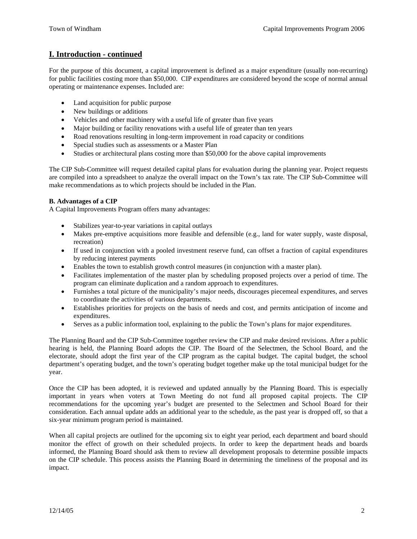## **I. Introduction - continued**

For the purpose of this document, a capital improvement is defined as a major expenditure (usually non-recurring) for public facilities costing more than \$50,000. CIP expenditures are considered beyond the scope of normal annual operating or maintenance expenses. Included are:

- Land acquisition for public purpose
- New buildings or additions
- Vehicles and other machinery with a useful life of greater than five years
- Major building or facility renovations with a useful life of greater than ten years
- Road renovations resulting in long-term improvement in road capacity or conditions
- Special studies such as assessments or a Master Plan
- Studies or architectural plans costing more than \$50,000 for the above capital improvements

The CIP Sub-Committee will request detailed capital plans for evaluation during the planning year. Project requests are compiled into a spreadsheet to analyze the overall impact on the Town's tax rate. The CIP Sub-Committee will make recommendations as to which projects should be included in the Plan.

### **B. Advantages of a CIP**

A Capital Improvements Program offers many advantages:

- Stabilizes year-to-year variations in capital outlays
- Makes pre-emptive acquisitions more feasible and defensible (e.g., land for water supply, waste disposal, recreation)
- If used in conjunction with a pooled investment reserve fund, can offset a fraction of capital expenditures by reducing interest payments
- Enables the town to establish growth control measures (in conjunction with a master plan).
- Facilitates implementation of the master plan by scheduling proposed projects over a period of time. The program can eliminate duplication and a random approach to expenditures.
- Furnishes a total picture of the municipality's major needs, discourages piecemeal expenditures, and serves to coordinate the activities of various departments.
- Establishes priorities for projects on the basis of needs and cost, and permits anticipation of income and expenditures.
- Serves as a public information tool, explaining to the public the Town's plans for major expenditures.

The Planning Board and the CIP Sub-Committee together review the CIP and make desired revisions. After a public hearing is held, the Planning Board adopts the CIP. The Board of the Selectmen, the School Board, and the electorate, should adopt the first year of the CIP program as the capital budget. The capital budget, the school department's operating budget, and the town's operating budget together make up the total municipal budget for the year.

Once the CIP has been adopted, it is reviewed and updated annually by the Planning Board. This is especially important in years when voters at Town Meeting do not fund all proposed capital projects. The CIP recommendations for the upcoming year's budget are presented to the Selectmen and School Board for their consideration. Each annual update adds an additional year to the schedule, as the past year is dropped off, so that a six-year minimum program period is maintained.

When all capital projects are outlined for the upcoming six to eight year period, each department and board should monitor the effect of growth on their scheduled projects. In order to keep the department heads and boards informed, the Planning Board should ask them to review all development proposals to determine possible impacts on the CIP schedule. This process assists the Planning Board in determining the timeliness of the proposal and its impact.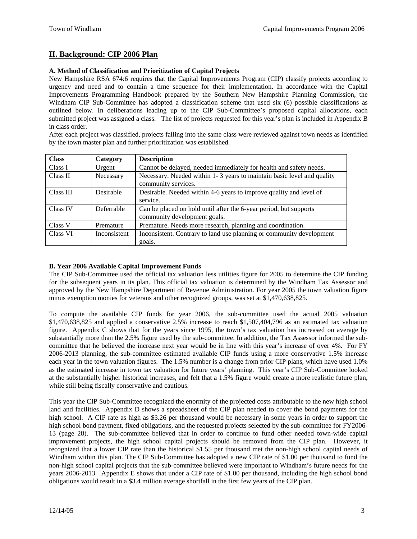## **II. Background: CIP 2006 Plan**

### **A. Method of Classification and Prioritization of Capital Projects**

New Hampshire RSA 674:6 requires that the Capital Improvements Program (CIP) classify projects according to urgency and need and to contain a time sequence for their implementation. In accordance with the Capital Improvements Programming Handbook prepared by the Southern New Hampshire Planning Commission, the Windham CIP Sub-Committee has adopted a classification scheme that used six (6) possible classifications as outlined below. In deliberations leading up to the CIP Sub-Committee's proposed capital allocations, each submitted project was assigned a class. The list of projects requested for this year's plan is included in Appendix B in class order.

After each project was classified, projects falling into the same class were reviewed against town needs as identified by the town master plan and further prioritization was established.

| <b>Class</b> | Category     | <b>Description</b>                                                                            |
|--------------|--------------|-----------------------------------------------------------------------------------------------|
| Class I      | Urgent       | Cannot be delayed, needed immediately for health and safety needs.                            |
| Class II     | Necessary    | Necessary. Needed within 1-3 years to maintain basic level and quality<br>community services. |
| Class III    | Desirable    | Desirable. Needed within 4-6 years to improve quality and level of                            |
|              |              | service.                                                                                      |
| Class IV     | Deferrable   | Can be placed on hold until after the 6-year period, but supports                             |
|              |              | community development goals.                                                                  |
| Class V      | Premature    | Premature. Needs more research, planning and coordination.                                    |
| Class VI     | Inconsistent | Inconsistent. Contrary to land use planning or community development                          |
|              |              | goals.                                                                                        |

#### **B. Year 2006 Available Capital Improvement Funds**

The CIP Sub-Committee used the official tax valuation less utilities figure for 2005 to determine the CIP funding for the subsequent years in its plan. This official tax valuation is determined by the Windham Tax Assessor and approved by the New Hampshire Department of Revenue Administration. For year 2005 the town valuation figure minus exemption monies for veterans and other recognized groups, was set at \$1,470,638,825.

To compute the available CIP funds for year 2006, the sub-committee used the actual 2005 valuation \$1,470,638,825 and applied a conservative 2.5% increase to reach \$1,507,404,796 as an estimated tax valuation figure. Appendix C shows that for the years since 1995, the town's tax valuation has increased on average by substantially more than the 2.5% figure used by the sub-committee. In addition, the Tax Assessor informed the subcommittee that he believed the increase next year would be in line with this year's increase of over 4%. For FY 2006-2013 planning, the sub-committee estimated available CIP funds using a more conservative 1.5% increase each year in the town valuation figures. The 1.5% number is a change from prior CIP plans, which have used 1.0% as the estimated increase in town tax valuation for future years' planning. This year's CIP Sub-Committee looked at the substantially higher historical increases, and felt that a 1.5% figure would create a more realistic future plan, while still being fiscally conservative and cautious.

This year the CIP Sub-Committee recognized the enormity of the projected costs attributable to the new high school land and facilities. Appendix D shows a spreadsheet of the CIP plan needed to cover the bond payments for the high school. A CIP rate as high as \$3.26 per thousand would be necessary in some years in order to support the high school bond payment, fixed obligations, and the requested projects selected by the sub-committee for FY2006- 13 (page 28). The sub-committee believed that in order to continue to fund other needed town-wide capital improvement projects, the high school capital projects should be removed from the CIP plan. However, it recognized that a lower CIP rate than the historical \$1.55 per thousand met the non-high school capital needs of Windham within this plan. The CIP Sub-Committee has adopted a new CIP rate of \$1.00 per thousand to fund the non-high school capital projects that the sub-committee believed were important to Windham's future needs for the years 2006-2013. Appendix E shows that under a CIP rate of \$1.00 per thousand, including the high school bond obligations would result in a \$3.4 million average shortfall in the first few years of the CIP plan.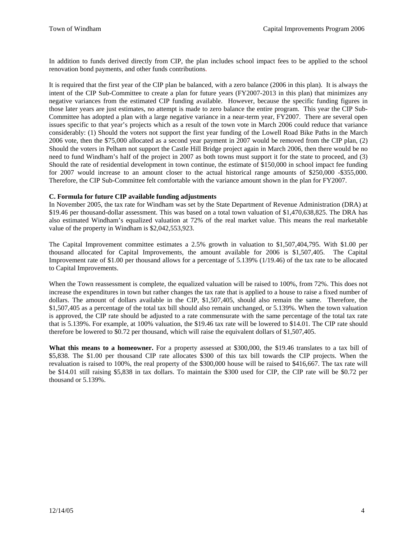In addition to funds derived directly from CIP, the plan includes school impact fees to be applied to the school renovation bond payments, and other funds contributions.

It is required that the first year of the CIP plan be balanced, with a zero balance (2006 in this plan). It is always the intent of the CIP Sub-Committee to create a plan for future years (FY2007-2013 in this plan) that minimizes any negative variances from the estimated CIP funding available. However, because the specific funding figures in those later years are just estimates, no attempt is made to zero balance the entire program. This year the CIP Sub-Committee has adopted a plan with a large negative variance in a near-term year, FY2007. There are several open issues specific to that year's projects which as a result of the town vote in March 2006 could reduce that variance considerably: (1) Should the voters not support the first year funding of the Lowell Road Bike Paths in the March 2006 vote, then the \$75,000 allocated as a second year payment in 2007 would be removed from the CIP plan, (2) Should the voters in Pelham not support the Castle Hill Bridge project again in March 2006, then there would be no need to fund Windham's half of the project in 2007 as both towns must support it for the state to proceed, and (3) Should the rate of residential development in town continue, the estimate of \$150,000 in school impact fee funding for 2007 would increase to an amount closer to the actual historical range amounts of \$250,000 -\$355,000. Therefore, the CIP Sub-Committee felt comfortable with the variance amount shown in the plan for FY2007.

#### **C. Formula for future CIP available funding adjustments**

In November 2005, the tax rate for Windham was set by the State Department of Revenue Administration (DRA) at \$19.46 per thousand-dollar assessment. This was based on a total town valuation of \$1,470,638,825. The DRA has also estimated Windham's equalized valuation at 72% of the real market value. This means the real marketable value of the property in Windham is \$2,042,553,923.

The Capital Improvement committee estimates a 2.5% growth in valuation to \$1,507,404,795. With \$1.00 per thousand allocated for Capital Improvements, the amount available for 2006 is \$1,507,405. The Capital Improvement rate of \$1.00 per thousand allows for a percentage of 5.139% (1/19.46) of the tax rate to be allocated to Capital Improvements.

When the Town reassessment is complete, the equalized valuation will be raised to 100%, from 72%. This does not increase the expenditures in town but rather changes the tax rate that is applied to a house to raise a fixed number of dollars. The amount of dollars available in the CIP, \$1,507,405, should also remain the same. Therefore, the \$1,507,405 as a percentage of the total tax bill should also remain unchanged, or 5.139%. When the town valuation is approved, the CIP rate should be adjusted to a rate commensurate with the same percentage of the total tax rate that is 5.139%. For example, at 100% valuation, the \$19.46 tax rate will be lowered to \$14.01. The CIP rate should therefore be lowered to \$0.72 per thousand, which will raise the equivalent dollars of \$1,507,405.

**What this means to a homeowner.** For a property assessed at \$300,000, the \$19.46 translates to a tax bill of \$5,838. The \$1.00 per thousand CIP rate allocates \$300 of this tax bill towards the CIP projects. When the revaluation is raised to 100%, the real property of the \$300,000 house will be raised to \$416,667. The tax rate will be \$14.01 still raising \$5,838 in tax dollars. To maintain the \$300 used for CIP, the CIP rate will be \$0.72 per thousand or 5.139%.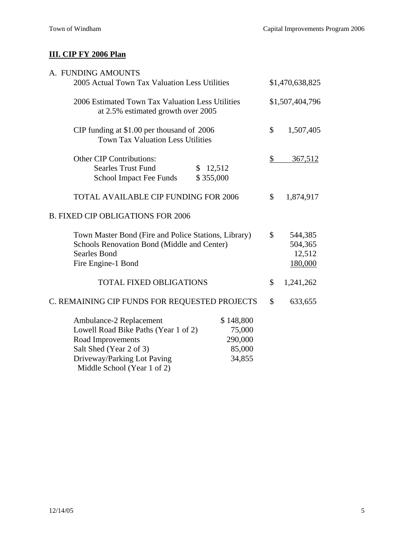## **III. CIP FY 2006 Plan**

| A. FUNDING AMOUNTS                                                                                                                                                            |                                                    |                                               |
|-------------------------------------------------------------------------------------------------------------------------------------------------------------------------------|----------------------------------------------------|-----------------------------------------------|
| 2005 Actual Town Tax Valuation Less Utilities                                                                                                                                 | \$1,470,638,825                                    |                                               |
| 2006 Estimated Town Tax Valuation Less Utilities<br>at 2.5% estimated growth over 2005                                                                                        | \$1,507,404,796                                    |                                               |
| CIP funding at \$1.00 per thousand of 2006<br><b>Town Tax Valuation Less Utilities</b>                                                                                        |                                                    | \$<br>1,507,405                               |
| <b>Other CIP Contributions:</b>                                                                                                                                               |                                                    | \$<br>367,512                                 |
| <b>Searles Trust Fund</b><br>S.<br>School Impact Fee Funds                                                                                                                    | 12,512<br>\$355,000                                |                                               |
| <b>TOTAL AVAILABLE CIP FUNDING FOR 2006</b>                                                                                                                                   |                                                    | \$<br>1,874,917                               |
| <b>B. FIXED CIP OBLIGATIONS FOR 2006</b>                                                                                                                                      |                                                    |                                               |
| Town Master Bond (Fire and Police Stations, Library)<br>Schools Renovation Bond (Middle and Center)<br><b>Searles Bond</b><br>Fire Engine-1 Bond                              |                                                    | \$<br>544,385<br>504,365<br>12,512<br>180,000 |
| <b>TOTAL FIXED OBLIGATIONS</b>                                                                                                                                                |                                                    | \$<br>1,241,262                               |
| C. REMAINING CIP FUNDS FOR REQUESTED PROJECTS                                                                                                                                 |                                                    | \$<br>633,655                                 |
| Ambulance-2 Replacement<br>Lowell Road Bike Paths (Year 1 of 2)<br>Road Improvements<br>Salt Shed (Year 2 of 3)<br>Driveway/Parking Lot Paving<br>Middle School (Year 1 of 2) | \$148,800<br>75,000<br>290,000<br>85,000<br>34,855 |                                               |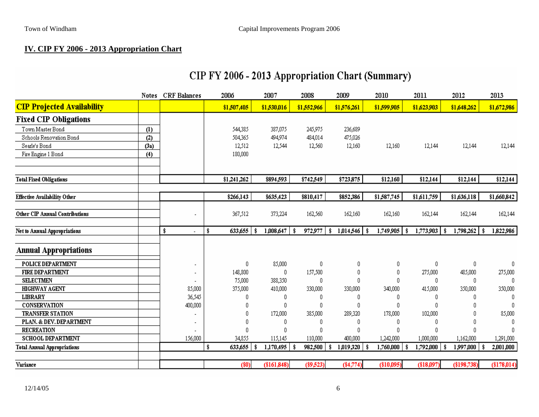## **IV. CIP FY 2006 - 2013 Appropriation Chart**

|                                     | <b>Notes</b> | <b>CRF</b> Balances | 2006          | 2007             | 2008           | 2009        | 2010        | 2011                   | 2012             | 2013         |
|-------------------------------------|--------------|---------------------|---------------|------------------|----------------|-------------|-------------|------------------------|------------------|--------------|
| <b>CIP Projected Availability</b>   |              |                     | \$1,507,405   | \$1,530,016      | \$1,552,966    | \$1,576,261 | \$1,599,905 | \$1,623,903            | \$1,648,262      | \$1,672,986  |
| <b>Fixed CIP Obligations</b>        |              |                     |               |                  |                |             |             |                        |                  |              |
| Town Master Bond                    | (1)          |                     | 544,385       | 387,075          | 245,975        | 236,689     |             |                        |                  |              |
| Schools Renovation Bond             | (2)          |                     | 504,365       | 494,974          | 484,014        | 475,026     |             |                        |                  |              |
| Searle's Bond                       | (3a)         |                     | 12,512        | 12,544           | 12,560         | 12,160      | 12,160      | 12,144                 | 12,144           | 12,144       |
| Fire Engine 1 Bond                  | (4)          |                     | 180,000       |                  |                |             |             |                        |                  |              |
| <b>Total Fixed Obligations</b>      |              |                     | \$1,241,262   | \$894,593        | \$742,549      | \$723,875   | \$12,160    | \$12,144               | \$12,144         | \$12,144     |
|                                     |              |                     |               |                  |                |             |             |                        |                  |              |
| <b>Effective Availability Other</b> |              |                     | \$266,143     | \$635,423        | \$810,417      | \$852,386   | \$1,587,745 | \$1,611,759            | \$1,636,118      | \$1,660,842  |
| Other CIP Annual Contributions      |              |                     | 367,512       | 373,224          | 162,560        | 162,160     | 162,160     | 162,144                | 162,144          | 162,144      |
| <b>Net to Annual Appropriations</b> |              | \$                  | 633,655<br>\$ | -\$<br>1,008,647 | 972,977<br>-\$ | -\$         | 1,749,905   | $1,773,903$   \$<br>\$ | $1,798,262$   \$ | 1,822,986    |
| <b>Annual Appropriations</b>        |              |                     |               |                  |                |             |             |                        |                  |              |
| POLICE DEPARTMENT                   |              |                     | 0             | 85,000           | 0              | 0           | 0           | 0                      | 0                | 0            |
| <b>FIRE DEPARTMENT</b>              |              |                     | 148,800       | 0                | 157,500        | 0           | 0           | 275,000                | 485,000          | 275,000      |
| <b>SELECTMEN</b>                    |              |                     | 75,000        | 388,350          | 0              | n           | n           | 0                      | 0                | $\mathsf{U}$ |
| <b>HIGHWAY AGENT</b>                |              | 85,000              | 375,000       | 410,000          | 330,000        | 330,000     | 340,000     | 415,000                | 350,000          | 350,000      |
| <b>LIBRARY</b>                      |              | 36,545              | 0             | 0                | 0              | 0           | 0           | 0                      | 0                | 0            |
| CONSERVATION                        |              | 400,000             | 0             | 0                | $\theta$       | 0           | 0           | 0                      | 0                | 0            |
| <b>TRANSFER STATION</b>             |              |                     | 0             | 172,000          | 385,000        | 289,320     | 178,000     | 102,000                | 0                | 85,000       |
| PLAN. & DEV. DEPARTMENT             |              |                     | 0             | 0                | 0              | 0           | 0           | 0                      | 0                | 0            |
| <b>RECREATION</b>                   |              |                     | 0             | 0                | 0              | O           | 0           | 0                      | 0                | 0            |
| <b>SCHOOL DEPARTMENT</b>            |              | 156,000             | 34,855        | 115,145          | 110,000        | 400,000     | 1,242,000   | 1,000,000              | 1,162,000        | 1,291,000    |
| <b>Total Annual Appropriations</b>  |              |                     | 633,655<br>\$ | 1,170,495<br>S   | 982,500<br>-\$ | 1,019,320   | 1,760,000   | 1,792,000              | 1,997,000<br>-8  | 2,001,000    |
| Variance                            |              |                     | $(\$0)$       | (\$161,848)      | $(\$9,523)$    | $(*4,774)$  | (\$10,095)  | (\$18,097)             | $(\$198,738)$    | (\$178,014)  |
|                                     |              |                     |               |                  |                |             |             |                        |                  |              |

## CIP FY 2006 - 2013 Appropriation Chart (Summary)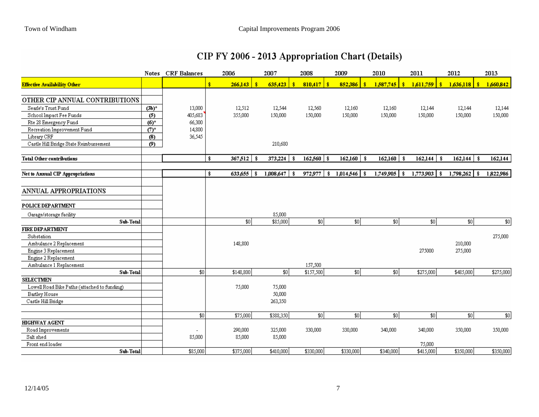| CIP FY 2006 - 2013 Appropriation Chart (Details) |  |  |
|--------------------------------------------------|--|--|
|--------------------------------------------------|--|--|

|                                              | <b>Notes</b>       | <b>CRF Balances</b> | 2006          |     | 2007             | 2008           | 2009             | 2010            | 2011             | 2012            | 2013      |
|----------------------------------------------|--------------------|---------------------|---------------|-----|------------------|----------------|------------------|-----------------|------------------|-----------------|-----------|
| <b>Effective Availability Other</b>          |                    |                     | \$<br>266,143 | -8  | 635,423<br>ŝ     | 810,417<br>-\$ | 852,386<br>-8    | 1,587,745<br>\$ | 1,611,759<br>ŝ   | \$<br>1,636,118 | 1,660,842 |
| OTHER CIP ANNUAL CONTRIBUTIONS               |                    |                     |               |     |                  |                |                  |                 |                  |                 |           |
| Searle's Trust Fund                          | $(3b)^*$           | 13,000              | 12,512        |     | 12,544           | 12,560         | 12,160           | 12,160          | 12,144           | 12,144          | 12,144    |
| School Impact Fee Funds                      | (5)                | 405,683             | 355,000       |     | 150,000          | 150,000        | 150,000          | 150,000         | 150,000          | 150,000         | 150,000   |
| Rte 28 Emergency Fund                        | $(6)$ <sup>*</sup> | 66,300              |               |     |                  |                |                  |                 |                  |                 |           |
| Recreation Improvement Fund                  | $(7)$ *            | 14,800              |               |     |                  |                |                  |                 |                  |                 |           |
| Library CRF                                  | (8)                | 36,545              |               |     |                  |                |                  |                 |                  |                 |           |
| Castle Hill Bridge State Reimbursement       | (9)                |                     |               |     | 210,680          |                |                  |                 |                  |                 |           |
| <b>Total Other contributions</b>             |                    |                     | \$<br>367,512 | -9  | 373,224<br>-\$   | 162,560<br>-\$ | 162,160<br>- \$  | 162,160<br>-\$  | 162,144<br>-\$   | 162,144<br>-\$  | 162,144   |
| Net to Annual CIP Appropriations             |                    |                     | \$<br>633,655 | -\$ | 1,008,647<br>-\$ | 972,977<br>\$  | 1,014,546<br>-\$ | 1,749,905<br>\$ | 1,773,903<br>-\$ | $1,798,262$ \$  | 1,822,986 |
| ANNUAL APPROPRIATIONS                        |                    |                     |               |     |                  |                |                  |                 |                  |                 |           |
| POLICE DEPARTMENT                            |                    |                     |               |     |                  |                |                  |                 |                  |                 |           |
| Garage/storage facility                      |                    |                     |               |     | 85,000           |                |                  |                 |                  |                 |           |
| Sub-Total                                    |                    |                     | $\sqrt{30}$   |     | \$85,000         | 30             | \$0              | \$0             | 30               | \$0             | \$0       |
| <b>FIRE DEPARTMENT</b>                       |                    |                     |               |     |                  |                |                  |                 |                  |                 |           |
| Substation                                   |                    |                     |               |     |                  |                |                  |                 |                  |                 | 275,000   |
| Ambulance 2 Replacement                      |                    |                     | 148,800       |     |                  |                |                  |                 |                  | 210,000         |           |
| Engine 3 Replacement                         |                    |                     |               |     |                  |                |                  |                 | 275000           | 275,000         |           |
| Engine 2 Replacement                         |                    |                     |               |     |                  |                |                  |                 |                  |                 |           |
| Ambulance 1 Replacement                      |                    |                     |               |     |                  | 157,500        |                  |                 |                  |                 |           |
| Sub-Total                                    |                    | $\overline{30}$     | \$148,800     |     | 30               | \$157,500      | \$0              | $\overline{30}$ | \$275,000        | \$485,000       | \$275,000 |
| <b>SELECTMEN</b>                             |                    |                     |               |     |                  |                |                  |                 |                  |                 |           |
| Lowell Road Bike Paths (attached to funding) |                    |                     | 75,000        |     | 75,000           |                |                  |                 |                  |                 |           |
| Bartley House                                |                    |                     |               |     | 50,000           |                |                  |                 |                  |                 |           |
| Castle Hill Bridge                           |                    |                     |               |     | 263,350          |                |                  |                 |                  |                 |           |
|                                              |                    | \$0                 | \$75,000      |     | \$388,350        | 30             | \$0]             | \$0]            | \$0]             | \$0             | $$0$      |
| <b>HIGHWAY AGENT</b>                         |                    |                     |               |     |                  |                |                  |                 |                  |                 |           |
| Road Improvements                            |                    |                     | 290,000       |     | 325,000          | 330,000        | 330,000          | 340,000         | 340,000          | 350,000         | 350,000   |
| Salt shed                                    |                    | 85,000              | 85,000        |     | 85,000           |                |                  |                 |                  |                 |           |
| Front end loader                             |                    |                     |               |     |                  |                |                  |                 | 75,000           |                 |           |
| Sub-Total                                    |                    | \$85,000            | \$375,000     |     | \$410,000        | \$330,000      | \$330,000        | \$340,000       | \$415,000        | \$350,000       | \$350,000 |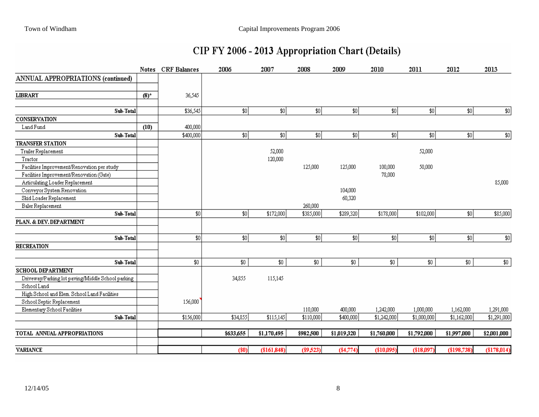## CIP FY 2006 - 2013 Appropriation Chart (Details)

|                                                   | <b>Notes</b> | CRF Balances | 2006      | 2007        | 2008        | 2009        | 2010        | 2011        | 2012        | 2013        |
|---------------------------------------------------|--------------|--------------|-----------|-------------|-------------|-------------|-------------|-------------|-------------|-------------|
| <b>ANNUAL APPROPRIATIONS (continued)</b>          |              |              |           |             |             |             |             |             |             |             |
|                                                   |              |              |           |             |             |             |             |             |             |             |
| <b>LIBRARY</b>                                    | $(8)^{*}$    | 36,545       |           |             |             |             |             |             |             |             |
|                                                   |              |              |           |             |             |             |             |             |             |             |
| Sub-Total                                         |              | \$36,545     | 30        | \$0]        | 30          | \$0]        | 30          | \$0]        | 30          | $$0$        |
| <b>CONSERVATION</b>                               |              |              |           |             |             |             |             |             |             |             |
| Land Fund                                         | (10)         | 400,000      |           |             |             |             |             |             |             |             |
| Sub-Total                                         |              | \$400,000    | 30        | 30          | 30          | 30          | 30          | 30          | 30          | $$0$        |
| <b>TRANSFER STATION</b>                           |              |              |           |             |             |             |             |             |             |             |
| Trailer Replacement                               |              |              |           | 52,000      |             |             |             | 52,000      |             |             |
| Tractor                                           |              |              |           | 120,000     |             |             |             |             |             |             |
| Facilities Improvement/Renovation per study       |              |              |           |             | 125,000     | 125,000     | 100,000     | 50,000      |             |             |
| Facilities Improvement/Renovation (Gate)          |              |              |           |             |             |             | 78,000      |             |             |             |
| Articulating Loader Replacement                   |              |              |           |             |             |             |             |             |             | 85,000      |
| Conveyor System Renovation                        |              |              |           |             |             | 104,000     |             |             |             |             |
| Skid Loader Replacement                           |              |              |           |             |             | 60,320      |             |             |             |             |
| Baler Replacement                                 |              |              |           |             | 260,000     |             |             |             |             |             |
| Sub-Total                                         |              | \$0          | 30        | \$172,000   | \$385,000   | \$289,320   | \$178,000   | \$102,000   | \$0]        | \$85,000    |
| PLAN. & DEV. DEPARTMENT                           |              |              |           |             |             |             |             |             |             |             |
| $Sub-Total$                                       |              | \$0          | 30        | 30          | 30          | 30          | 30          | 30          | 30          | $\$0$       |
| <b>RECREATION</b>                                 |              |              |           |             |             |             |             |             |             |             |
| $Sub-Total$                                       |              | $$0$$        | $$0$$     | \$0         | $\$0$       | \$0         | \$0         | \$0         | \$0\$       | $\$0$       |
| SCHOOL DEPARTMENT                                 |              |              |           |             |             |             |             |             |             |             |
| Driveway/Parking lot paving/Middle School parking |              |              | 34,855    | 115,145     |             |             |             |             |             |             |
| School Land                                       |              |              |           |             |             |             |             |             |             |             |
| High School and Elem. School Land Facilities      |              |              |           |             |             |             |             |             |             |             |
| School Septic Replacement                         |              | 156,000      |           |             |             |             |             |             |             |             |
| Elementary School Facilities                      |              |              |           |             | 110,000     | 400,000     | 1,242,000   | 1,000,000   | 1,162,000   | 1,291,000   |
| Sub-Total                                         |              | \$156,000    | \$34,855  | \$115,145   | \$110,000   | \$400,000   | \$1,242,000 | \$1,000,000 | \$1,162,000 | \$1,291,000 |
| TOTAL ANNUAL APPROPRIATIONS                       |              |              | \$633,655 | \$1,170,495 | \$982,500   | \$1,019,320 | \$1,760,000 | \$1,792,000 | \$1,997,000 | \$2,001,000 |
|                                                   |              |              |           |             |             |             |             |             |             |             |
| <b>VARIANCE</b>                                   |              |              | $(\$0)$   | (\$161,848) | $(\$9,523)$ | $(*4,774)$  | (\$10,095)  | (\$18,097)  | (\$198,738) | (\$178,014) |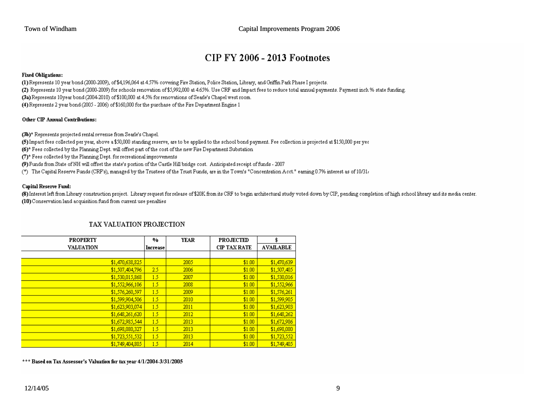## **CIP FY 2006 - 2013 Footnotes**

#### **Fixed Obligations:**

(1) Represents 10 year bond (2000-2009), of \$4,196,064 at 4.57% covering Fire Station, Police Station, Library, and Griffin Park Phase I projects. (2) Represents 10 year bond (2000-2009) for schools renovation of \$5,992,000 at 4.65%. Use CRF and Impact fees to reduce total annual payments. Payment incl. % state funding. (3a) Represents 10year bond (2004-2010) of \$100,000 at 4.5% for renovations of Searle's Chapel west room. (4) Represents 2 year bond (2005 - 2006) of \$160,000 for the purchase of the Fire Department Engine 1

#### Other CIP Annual Contributions:

(3b)\* Represents projected rental revenue from Searle's Chapel.

(5) Impact fees collected per year, above a \$50,000 standing reserve, are to be applied to the school bond payment. Fee collection is projected at \$150,000 per yes

(6)\* Fees collected by the Planning Dept. will offset part of the cost of the new Fire Department Substation

(7)\* Fees collected by the Planning Dept. for recreational improvements

(9) Funds from State of NH will offset the state's portion of the Castle Hill bridge cost. Anticipated receipt of funds - 2007

(\*) The Capital Reserve Funds (CRF's), managed by the Trustees of the Trust Funds, are in the Town's "Concentration Acct." earning 0.7% interest as of 10/31,

#### **Capital Reserve Fund:**

(8) Interest left from Library construction project. Library request for release of \$20K from its CRF to begin architectural study voted down by CIP, pending completion of high school library and its media center. (10) Conservation land acquisition fund from current use penalties

| <b>PROPERTY</b>  | %        | <b>YEAR</b> | <b>PROJECTED</b>    | \$               |
|------------------|----------|-------------|---------------------|------------------|
| <b>VALUATION</b> | Increase |             | <b>CIP TAX RATE</b> | <b>AVAILABLE</b> |
|                  |          |             |                     |                  |
| \$1,470,638,825  |          | 2005        | \$1.00              | \$1,470,639      |
| \$1,507,404,796  | 2.5      | 2006        | \$1.00              | \$1,507,405      |
| \$1,530,015,868  | 1.5      | 2007        | \$1.00              | \$1,530,016      |
| \$1,552,966,106  | 1.5      | 2008        | \$1.00              | \$1,552,966      |
| \$1,576,260,597  | 1.5      | 2009        | \$1.00              | \$1,576,261      |
| \$1,599,904,506  | 1.5      | 2010        | \$1.00              | \$1,599,905      |
| \$1,623,903,074  | 1.5      | 2011        | \$1.00              | \$1,623,903      |
| \$1,648,261,620  | 1.5      | 2012        | \$1.00              | \$1,648,262      |
| \$1,672,985,544  | 1.5      | 2013        | \$1.00              | \$1,672,986      |
| \$1,698,080,327  | 1.5      | 2013        | \$1.00              | \$1,698,080      |
| \$1,723,551,532  | 1.5      | 2013        | \$1.00              | \$1,723,552      |
| \$1,749,404,805  | 1.5      | 2014        | \$1.00              | \$1,749,405      |

#### TAX VALUATION PROJECTION

\*\*\* Based on Tax Assessor's Valuation for tax year 4/1/2004-3/31/2005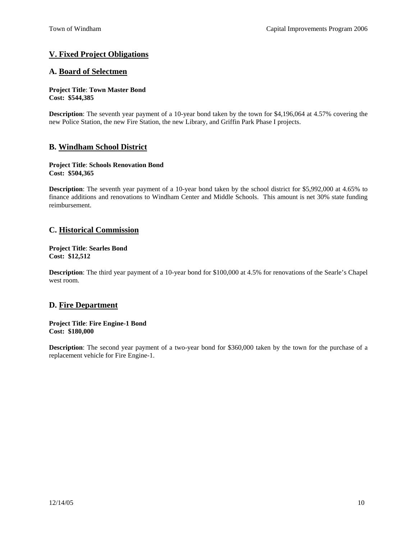## **V. Fixed Project Obligations**

## **A. Board of Selectmen**

#### **Project Title**: **Town Master Bond Cost: \$544,385**

**Description**: The seventh year payment of a 10-year bond taken by the town for \$4,196,064 at 4.57% covering the new Police Station, the new Fire Station, the new Library, and Griffin Park Phase I projects.

## **B. Windham School District**

#### **Project Title**: **Schools Renovation Bond Cost: \$504,365**

**Description**: The seventh year payment of a 10-year bond taken by the school district for \$5,992,000 at 4.65% to finance additions and renovations to Windham Center and Middle Schools. This amount is net 30% state funding reimbursement.

## **C. Historical Commission**

#### **Project Title**: **Searles Bond Cost: \$12,512**

**Description**: The third year payment of a 10-year bond for \$100,000 at 4.5% for renovations of the Searle's Chapel west room.

## **D. Fire Department**

#### **Project Title**: **Fire Engine-1 Bond Cost: \$180,000**

**Description**: The second year payment of a two-year bond for \$360,000 taken by the town for the purchase of a replacement vehicle for Fire Engine-1.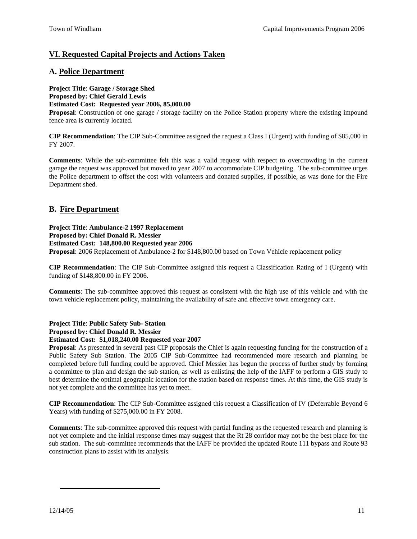## **VI. Requested Capital Projects and Actions Taken**

## **A. Police Department**

**Project Title**: **Garage / Storage Shed Proposed by: Chief Gerald Lewis Estimated Cost: Requested year 2006, 85,000.00** 

**Proposal**: Construction of one garage / storage facility on the Police Station property where the existing impound fence area is currently located.

**CIP Recommendation**: The CIP Sub-Committee assigned the request a Class I (Urgent) with funding of \$85,000 in FY 2007.

**Comments**: While the sub-committee felt this was a valid request with respect to overcrowding in the current garage the request was approved but moved to year 2007 to accommodate CIP budgeting. The sub-committee urges the Police department to offset the cost with volunteers and donated supplies, if possible, as was done for the Fire Department shed.

## **B. Fire Department**

**Project Title**: **Ambulance-2 1997 Replacement Proposed by: Chief Donald R. Messier** 

**Estimated Cost: 148,800.00 Requested year 2006** 

**Proposal**: 2006 Replacement of Ambulance-2 for \$148,800.00 based on Town Vehicle replacement policy

**CIP Recommendation**: The CIP Sub-Committee assigned this request a Classification Rating of I (Urgent) with funding of \$148,800.00 in FY 2006.

**Comments**: The sub-committee approved this request as consistent with the high use of this vehicle and with the town vehicle replacement policy, maintaining the availability of safe and effective town emergency care.

**Project Title**: **Public Safety Sub- Station Proposed by: Chief Donald R. Messier** 

#### **Estimated Cost: \$1,018,240.00 Requested year 2007**

**Proposal**: As presented in several past CIP proposals the Chief is again requesting funding for the construction of a Public Safety Sub Station. The 2005 CIP Sub-Committee had recommended more research and planning be completed before full funding could be approved. Chief Messier has begun the process of further study by forming a committee to plan and design the sub station, as well as enlisting the help of the IAFF to perform a GIS study to best determine the optimal geographic location for the station based on response times. At this time, the GIS study is not yet complete and the committee has yet to meet.

**CIP Recommendation**: The CIP Sub-Committee assigned this request a Classification of IV (Deferrable Beyond 6 Years) with funding of \$275,000.00 in FY 2008.

**Comments**: The sub-committee approved this request with partial funding as the requested research and planning is not yet complete and the initial response times may suggest that the Rt 28 corridor may not be the best place for the sub station. The sub-committee recommends that the IAFF be provided the updated Route 111 bypass and Route 93 construction plans to assist with its analysis.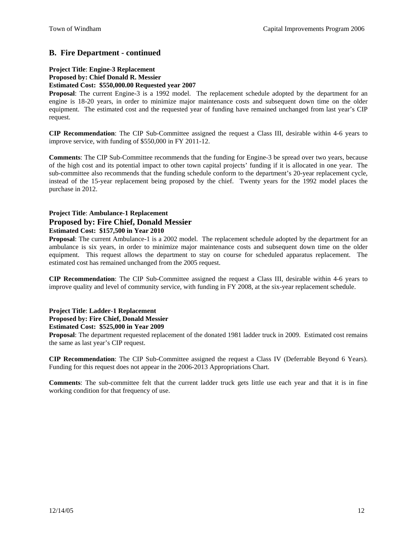## **B. Fire Department - continued**

### **Project Title**: **Engine-3 Replacement**

### **Proposed by: Chief Donald R. Messier**

#### **Estimated Cost: \$550,000.00 Requested year 2007**

**Proposal**: The current Engine-3 is a 1992 model. The replacement schedule adopted by the department for an engine is 18-20 years, in order to minimize major maintenance costs and subsequent down time on the older equipment. The estimated cost and the requested year of funding have remained unchanged from last year's CIP request.

**CIP Recommendation**: The CIP Sub-Committee assigned the request a Class III, desirable within 4-6 years to improve service, with funding of \$550,000 in FY 2011-12.

**Comments**: The CIP Sub-Committee recommends that the funding for Engine-3 be spread over two years, because of the high cost and its potential impact to other town capital projects' funding if it is allocated in one year. The sub-committee also recommends that the funding schedule conform to the department's 20-year replacement cycle, instead of the 15-year replacement being proposed by the chief. Twenty years for the 1992 model places the purchase in 2012.

#### **Project Title**: **Ambulance-1 Replacement Proposed by: Fire Chief, Donald Messier Estimated Cost: \$157,500 in Year 2010**

**Proposal**: The current Ambulance-1 is a 2002 model. The replacement schedule adopted by the department for an ambulance is six years, in order to minimize major maintenance costs and subsequent down time on the older equipment. This request allows the department to stay on course for scheduled apparatus replacement. The estimated cost has remained unchanged from the 2005 request.

**CIP Recommendation**: The CIP Sub-Committee assigned the request a Class III, desirable within 4-6 years to improve quality and level of community service, with funding in FY 2008, at the six-year replacement schedule.

**Project Title**: **Ladder-1 Replacement** 

## **Proposed by: Fire Chief, Donald Messier**

**Estimated Cost: \$525,000 in Year 2009**

**Proposal**: The department requested replacement of the donated 1981 ladder truck in 2009. Estimated cost remains the same as last year's CIP request.

**CIP Recommendation**: The CIP Sub-Committee assigned the request a Class IV (Deferrable Beyond 6 Years). Funding for this request does not appear in the 2006-2013 Appropriations Chart.

**Comments**: The sub-committee felt that the current ladder truck gets little use each year and that it is in fine working condition for that frequency of use.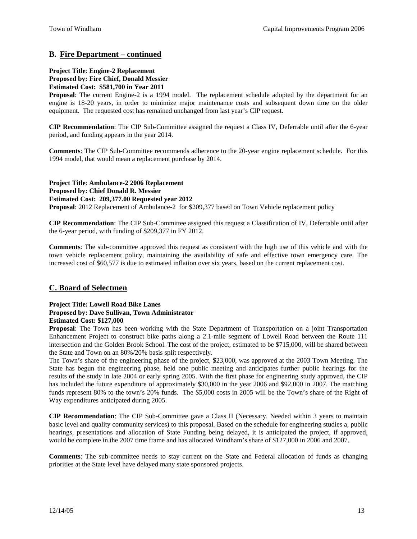## **B. Fire Department – continued**

### **Project Title**: **Engine-2 Replacement**

**Proposed by: Fire Chief, Donald Messier** 

**Estimated Cost: \$581,700 in Year 2011** 

**Proposal**: The current Engine-2 is a 1994 model. The replacement schedule adopted by the department for an engine is 18-20 years, in order to minimize major maintenance costs and subsequent down time on the older equipment. The requested cost has remained unchanged from last year's CIP request.

**CIP Recommendation**: The CIP Sub-Committee assigned the request a Class IV, Deferrable until after the 6-year period, and funding appears in the year 2014.

**Comments**: The CIP Sub-Committee recommends adherence to the 20-year engine replacement schedule. For this 1994 model, that would mean a replacement purchase by 2014.

**Project Title**: **Ambulance-2 2006 Replacement Proposed by: Chief Donald R. Messier Estimated Cost: 209,377.00 Requested year 2012 Proposal**: 2012 Replacement of Ambulance-2 for \$209,377 based on Town Vehicle replacement policy

**CIP Recommendation**: The CIP Sub-Committee assigned this request a Classification of IV, Deferrable until after the 6-year period, with funding of \$209,377 in FY 2012.

**Comments**: The sub-committee approved this request as consistent with the high use of this vehicle and with the town vehicle replacement policy, maintaining the availability of safe and effective town emergency care. The increased cost of \$60,577 is due to estimated inflation over six years, based on the current replacement cost.

## **C. Board of Selectmen**

#### **Project Title: Lowell Road Bike Lanes Proposed by: Dave Sullivan, Town Administrator Estimated Cost: \$127,000**

**Proposal**: The Town has been working with the State Department of Transportation on a joint Transportation Enhancement Project to construct bike paths along a 2.1-mile segment of Lowell Road between the Route 111 intersection and the Golden Brook School. The cost of the project, estimated to be \$715,000, will be shared between the State and Town on an 80%/20% basis split respectively.

The Town's share of the engineering phase of the project, \$23,000, was approved at the 2003 Town Meeting. The State has begun the engineering phase, held one public meeting and anticipates further public hearings for the results of the study in late 2004 or early spring 2005. With the first phase for engineering study approved, the CIP has included the future expenditure of approximately \$30,000 in the year 2006 and \$92,000 in 2007. The matching funds represent 80% to the town's 20% funds. The \$5,000 costs in 2005 will be the Town's share of the Right of Way expenditures anticipated during 2005.

**CIP Recommendation**: The CIP Sub-Committee gave a Class II (Necessary. Needed within 3 years to maintain basic level and quality community services) to this proposal. Based on the schedule for engineering studies a, public hearings, presentations and allocation of State Funding being delayed, it is anticipated the project, if approved, would be complete in the 2007 time frame and has allocated Windham's share of \$127,000 in 2006 and 2007.

**Comments**: The sub-committee needs to stay current on the State and Federal allocation of funds as changing priorities at the State level have delayed many state sponsored projects.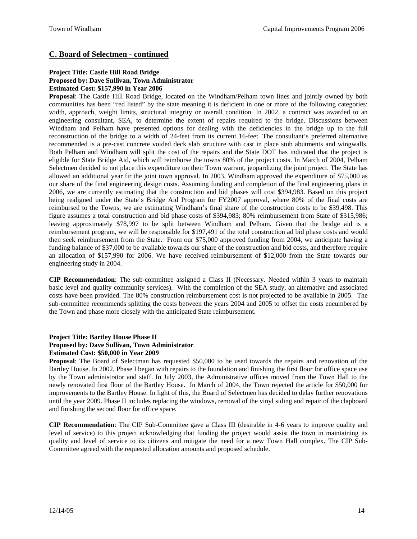## **C. Board of Selectmen - continued**

#### **Project Title: Castle Hill Road Bridge Proposed by: Dave Sullivan, Town Administrator Estimated Cost: \$157,990 in Year 2006**

**Proposal**: The Castle Hill Road Bridge, located on the Windham/Pelham town lines and jointly owned by both communities has been "red listed" by the state meaning it is deficient in one or more of the following categories: width, approach, weight limits, structural integrity or overall condition. In 2002, a contract was awarded to an engineering consultant, SEA, to determine the extent of repairs required to the bridge. Discussions between Windham and Pelham have presented options for dealing with the deficiencies in the bridge up to the full reconstruction of the bridge to a width of 24-feet from its current 16-feet. The consultant's preferred alternative recommended is a pre-cast concrete voided deck slab structure with cast in place stub abutments and wingwalls. Both Pelham and Windham will split the cost of the repairs and the State DOT has indicated that the project is eligible for State Bridge Aid, which will reimburse the towns 80% of the project costs. In March of 2004, Pelham Selectmen decided to not place this expenditure on their Town warrant, jeopardizing the joint project. The State has allowed an additional year fir the joint town approval. In 2003, Windham approved the expenditure of \$75,000 as our share of the final engineering design costs. Assuming funding and completion of the final engineering plans in 2006, we are currently estimating that the construction and bid phases will cost \$394,983. Based on this project being realigned under the State's Bridge Aid Program for FY2007 approval, where 80% of the final costs are reimbursed to the Towns, we are estimating Windham's final share of the construction costs to be \$39,498. This figure assumes a total construction and bid phase costs of \$394,983; 80% reimbursement from State of \$315,986; leaving approximately \$78,997 to be split between Windham and Pelham. Given that the bridge aid is a reimbursement program, we will be responsible for \$197,491 of the total construction ad bid phase costs and would then seek reimbursement from the State. From our \$75,000 approved funding from 2004, we anticipate having a funding balance of \$37,000 to be available towards our share of the construction and bid costs, and therefore require an allocation of \$157,990 for 2006. We have received reimbursement of \$12,000 from the State towards our engineering study in 2004.

**CIP Recommendation**: The sub-committee assigned a Class II (Necessary. Needed within 3 years to maintain basic level and quality community services). With the completion of the SEA study, an alternative and associated costs have been provided. The 80% construction reimbursement cost is not projected to be available in 2005. The sub-committee recommends splitting the costs between the years 2004 and 2005 to offset the costs encumbered by the Town and phase more closely with the anticipated State reimbursement.

#### **Project Title: Bartley House Phase II Proposed by: Dave Sullivan, Town Administrator Estimated Cost: \$50,000 in Year 2009**

**Proposal**: The Board of Selectman has requested \$50,000 to be used towards the repairs and renovation of the Bartley House. In 2002, Phase I began with repairs to the foundation and finishing the first floor for office space use by the Town administrator and staff. In July 2003, the Administrative offices moved from the Town Hall to the newly renovated first floor of the Bartley House. In March of 2004, the Town rejected the article for \$50,000 for improvements to the Bartley House. In light of this, the Board of Selectmen has decided to delay further renovations until the year 2009. Phase II includes replacing the windows, removal of the vinyl siding and repair of the clapboard and finishing the second floor for office space.

**CIP Recommendation**: The CIP Sub-Committee gave a Class III (desirable in 4-6 years to improve quality and level of service) to this project acknowledging that funding the project would assist the town in maintaining its quality and level of service to its citizens and mitigate the need for a new Town Hall complex. The CIP Sub-Committee agreed with the requested allocation amounts and proposed schedule.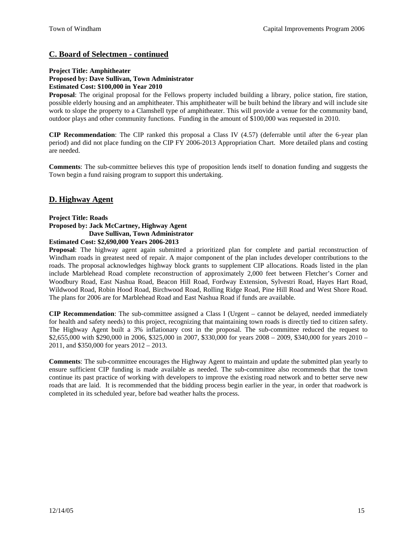## **C. Board of Selectmen - continued**

## **Project Title: Amphitheater**

## **Proposed by: Dave Sullivan, Town Administrator**

#### **Estimated Cost: \$100,000 in Year 2010**

**Proposal**: The original proposal for the Fellows property included building a library, police station, fire station, possible elderly housing and an amphitheater. This amphitheater will be built behind the library and will include site work to slope the property to a Clamshell type of amphitheater. This will provide a venue for the community band, outdoor plays and other community functions. Funding in the amount of \$100,000 was requested in 2010.

**CIP Recommendation**: The CIP ranked this proposal a Class IV (4.57) (deferrable until after the 6-year plan period) and did not place funding on the CIP FY 2006-2013 Appropriation Chart. More detailed plans and costing are needed.

**Comments**: The sub-committee believes this type of proposition lends itself to donation funding and suggests the Town begin a fund raising program to support this undertaking.

## **D. Highway Agent**

#### **Project Title: Roads Proposed by: Jack McCartney, Highway Agent Dave Sullivan, Town Administrator Estimated Cost: \$2,690,000 Years 2006-2013**

**Proposal**: The highway agent again submitted a prioritized plan for complete and partial reconstruction of Windham roads in greatest need of repair. A major component of the plan includes developer contributions to the roads. The proposal acknowledges highway block grants to supplement CIP allocations. Roads listed in the plan include Marblehead Road complete reconstruction of approximately 2,000 feet between Fletcher's Corner and Woodbury Road, East Nashua Road, Beacon Hill Road, Fordway Extension, Sylvestri Road, Hayes Hart Road, Wildwood Road, Robin Hood Road, Birchwood Road, Rolling Ridge Road, Pine Hill Road and West Shore Road. The plans for 2006 are for Marblehead Road and East Nashua Road if funds are available.

**CIP Recommendation**: The sub-committee assigned a Class I (Urgent – cannot be delayed, needed immediately for health and safety needs) to this project, recognizing that maintaining town roads is directly tied to citizen safety. The Highway Agent built a 3% inflationary cost in the proposal. The sub-committee reduced the request to \$2,655,000 with \$290,000 in 2006, \$325,000 in 2007, \$330,000 for years 2008 – 2009, \$340,000 for years 2010 – 2011, and \$350,000 for years 2012 – 2013.

**Comments**: The sub-committee encourages the Highway Agent to maintain and update the submitted plan yearly to ensure sufficient CIP funding is made available as needed. The sub-committee also recommends that the town continue its past practice of working with developers to improve the existing road network and to better serve new roads that are laid. It is recommended that the bidding process begin earlier in the year, in order that roadwork is completed in its scheduled year, before bad weather halts the process.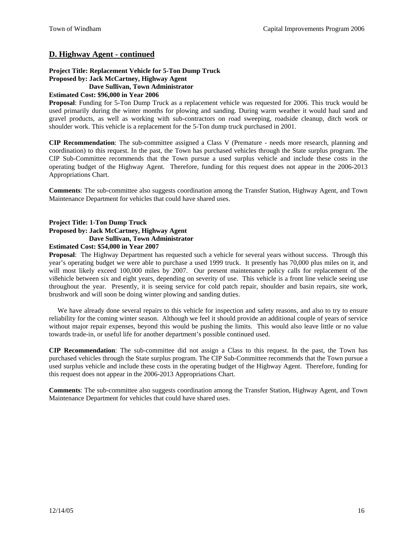## **D. Highway Agent - continued**

#### **Project Title: Replacement Vehicle for 5-Ton Dump Truck Proposed by: Jack McCartney, Highway Agent Dave Sullivan, Town Administrator**

#### **Estimated Cost: \$96,000 in Year 2006**

**Proposal**: Funding for 5-Ton Dump Truck as a replacement vehicle was requested for 2006. This truck would be used primarily during the winter months for plowing and sanding. During warm weather it would haul sand and gravel products, as well as working with sub-contractors on road sweeping, roadside cleanup, ditch work or shoulder work. This vehicle is a replacement for the 5-Ton dump truck purchased in 2001.

**CIP Recommendation**: The sub-committee assigned a Class V (Premature - needs more research, planning and coordination) to this request. In the past, the Town has purchased vehicles through the State surplus program. The CIP Sub-Committee recommends that the Town pursue a used surplus vehicle and include these costs in the operating budget of the Highway Agent. Therefore, funding for this request does not appear in the 2006-2013 Appropriations Chart.

**Comments**: The sub-committee also suggests coordination among the Transfer Station, Highway Agent, and Town Maintenance Department for vehicles that could have shared uses.

## **Project Title: 1-Ton Dump Truck Proposed by: Jack McCartney, Highway Agent Dave Sullivan, Town Administrator**

#### **Estimated Cost: \$54,000 in Year 2007**

**Proposal**: The Highway Department has requested such a vehicle for several years without success. Through this year's operating budget we were able to purchase a used 1999 truck. It presently has 70,000 plus miles on it, and will most likely exceed 100,000 miles by 2007. Our present maintenance policy calls for replacement of the vi8ehicle between six and eight years, depending on severity of use. This vehicle is a front line vehicle seeing use throughout the year. Presently, it is seeing service for cold patch repair, shoulder and basin repairs, site work, brushwork and will soon be doing winter plowing and sanding duties.

We have already done several repairs to this vehicle for inspection and safety reasons, and also to try to ensure reliability for the coming winter season. Although we feel it should provide an additional couple of years of service without major repair expenses, beyond this would be pushing the limits. This would also leave little or no value towards trade-in, or useful life for another department's possible continued used.

**CIP Recommendation**: The sub-committee did not assign a Class to this request. In the past, the Town has purchased vehicles through the State surplus program. The CIP Sub-Committee recommends that the Town pursue a used surplus vehicle and include these costs in the operating budget of the Highway Agent. Therefore, funding for this request does not appear in the 2006-2013 Appropriations Chart.

**Comments**: The sub-committee also suggests coordination among the Transfer Station, Highway Agent, and Town Maintenance Department for vehicles that could have shared uses.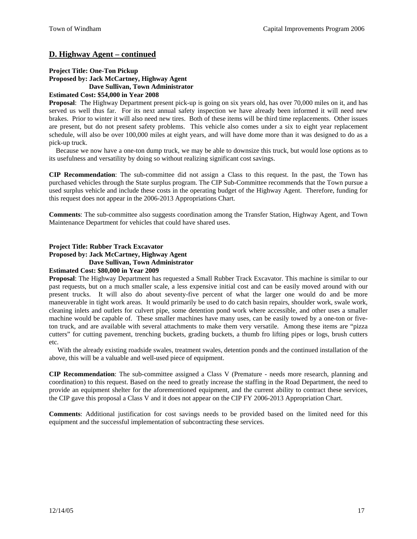## **D. Highway Agent – continued**

#### **Project Title: One-Ton Pickup Proposed by: Jack McCartney, Highway Agent Dave Sullivan, Town Administrator Estimated Cost: \$54,000 in Year 2008**

#### **Proposal**: The Highway Department present pick-up is going on six years old, has over 70,000 miles on it, and has served us well thus far. For its next annual safety inspection we have already been informed it will need new brakes. Prior to winter it will also need new tires. Both of these items will be third time replacements. Other issues are present, but do not present safety problems. This vehicle also comes under a six to eight year replacement schedule, will also be over 100,000 miles at eight years, and will have dome more than it was designed to do as a pick-up truck.

Because we now have a one-ton dump truck, we may be able to downsize this truck, but would lose options as to its usefulness and versatility by doing so without realizing significant cost savings.

**CIP Recommendation**: The sub-committee did not assign a Class to this request. In the past, the Town has purchased vehicles through the State surplus program. The CIP Sub-Committee recommends that the Town pursue a used surplus vehicle and include these costs in the operating budget of the Highway Agent. Therefore, funding for this request does not appear in the 2006-2013 Appropriations Chart.

**Comments**: The sub-committee also suggests coordination among the Transfer Station, Highway Agent, and Town Maintenance Department for vehicles that could have shared uses.

### **Project Title: Rubber Track Excavator**

**Proposed by: Jack McCartney, Highway Agent** 

#### **Dave Sullivan, Town Administrator**

#### **Estimated Cost: \$80,000 in Year 2009**

**Proposal**: The Highway Department has requested a Small Rubber Track Excavator. This machine is similar to our past requests, but on a much smaller scale, a less expensive initial cost and can be easily moved around with our present trucks. It will also do about seventy-five percent of what the larger one would do and be more maneuverable in tight work areas. It would primarily be used to do catch basin repairs, shoulder work, swale work, cleaning inlets and outlets for culvert pipe, some detention pond work where accessible, and other uses a smaller machine would be capable of. These smaller machines have many uses, can be easily towed by a one-ton or fiveton truck, and are available with several attachments to make them very versatile. Among these items are "pizza cutters" for cutting pavement, trenching buckets, grading buckets, a thumb fro lifting pipes or logs, brush cutters etc.

With the already existing roadside swales, treatment swales, detention ponds and the continued installation of the above, this will be a valuable and well-used piece of equipment.

**CIP Recommendation**: The sub-committee assigned a Class V (Premature - needs more research, planning and coordination) to this request. Based on the need to greatly increase the staffing in the Road Department, the need to provide an equipment shelter for the aforementioned equipment, and the current ability to contract these services, the CIP gave this proposal a Class V and it does not appear on the CIP FY 2006-2013 Appropriation Chart.

**Comments**: Additional justification for cost savings needs to be provided based on the limited need for this equipment and the successful implementation of subcontracting these services.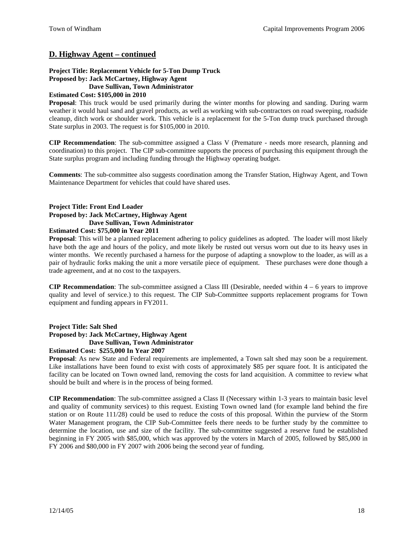## **D. Highway Agent – continued**

## **Project Title: Replacement Vehicle for 5-Ton Dump Truck Proposed by: Jack McCartney, Highway Agent**

#### **Dave Sullivan, Town Administrator**

### **Estimated Cost: \$105,000 in 2010**

**Proposal**: This truck would be used primarily during the winter months for plowing and sanding. During warm weather it would haul sand and gravel products, as well as working with sub-contractors on road sweeping, roadside cleanup, ditch work or shoulder work. This vehicle is a replacement for the 5-Ton dump truck purchased through State surplus in 2003. The request is for \$105,000 in 2010.

**CIP Recommendation**: The sub-committee assigned a Class V (Premature - needs more research, planning and coordination) to this project. The CIP sub-committee supports the process of purchasing this equipment through the State surplus program and including funding through the Highway operating budget.

**Comments**: The sub-committee also suggests coordination among the Transfer Station, Highway Agent, and Town Maintenance Department for vehicles that could have shared uses.

## **Project Title: Front End Loader Proposed by: Jack McCartney, Highway Agent Dave Sullivan, Town Administrator**

#### **Estimated Cost: \$75,000 in Year 2011**

**Proposal**: This will be a planned replacement adhering to policy guidelines as adopted. The loader will most likely have both the age and hours of the policy, and mote likely be rusted out versus worn out due to its heavy uses in winter months. We recently purchased a harness for the purpose of adapting a snowplow to the loader, as will as a pair of hydraulic forks making the unit a more versatile piece of equipment. These purchases were done though a trade agreement, and at no cost to the taxpayers.

**CIP Recommendation**: The sub-committee assigned a Class III (Desirable, needed within 4 – 6 years to improve quality and level of service.) to this request. The CIP Sub-Committee supports replacement programs for Town equipment and funding appears in FY2011.

**Project Title: Salt Shed Proposed by: Jack McCartney, Highway Agent Dave Sullivan, Town Administrator Estimated Cost: \$255,000 In Year 2007**

**Proposal**: As new State and Federal requirements are implemented, a Town salt shed may soon be a requirement. Like installations have been found to exist with costs of approximately \$85 per square foot. It is anticipated the facility can be located on Town owned land, removing the costs for land acquisition. A committee to review what should be built and where is in the process of being formed.

**CIP Recommendation**: The sub-committee assigned a Class II (Necessary within 1-3 years to maintain basic level and quality of community services) to this request. Existing Town owned land (for example land behind the fire station or on Route 111/28) could be used to reduce the costs of this proposal. Within the purview of the Storm Water Management program, the CIP Sub-Committee feels there needs to be further study by the committee to determine the location, use and size of the facility. The sub-committee suggested a reserve fund be established beginning in FY 2005 with \$85,000, which was approved by the voters in March of 2005, followed by \$85,000 in FY 2006 and \$80,000 in FY 2007 with 2006 being the second year of funding.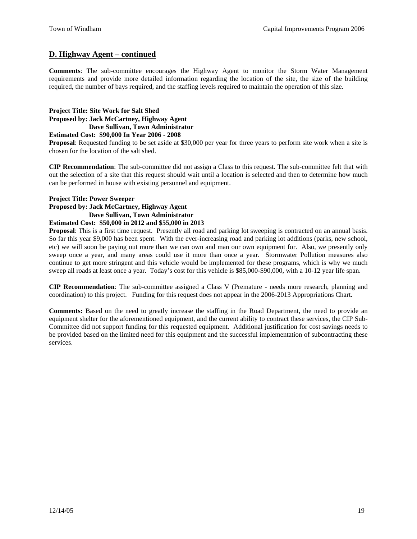## **D. Highway Agent – continued**

**Comments**: The sub-committee encourages the Highway Agent to monitor the Storm Water Management requirements and provide more detailed information regarding the location of the site, the size of the building required, the number of bays required, and the staffing levels required to maintain the operation of this size.

## **Project Title: Site Work for Salt Shed Proposed by: Jack McCartney, Highway Agent Dave Sullivan, Town Administrator**

**Estimated Cost: \$90,000 In Year 2006 - 2008**

**Proposal**: Requested funding to be set aside at \$30,000 per year for three years to perform site work when a site is chosen for the location of the salt shed.

**CIP Recommendation**: The sub-committee did not assign a Class to this request. The sub-committee felt that with out the selection of a site that this request should wait until a location is selected and then to determine how much can be performed in house with existing personnel and equipment.

#### **Project Title: Power Sweeper**

#### **Proposed by: Jack McCartney, Highway Agent Dave Sullivan, Town Administrator Estimated Cost: \$50,000 in 2012 and \$55,000 in 2013**

**Proposal**: This is a first time request. Presently all road and parking lot sweeping is contracted on an annual basis. So far this year \$9,000 has been spent. With the ever-increasing road and parking lot additions (parks, new school, etc) we will soon be paying out more than we can own and man our own equipment for. Also, we presently only sweep once a year, and many areas could use it more than once a year. Stormwater Pollution measures also continue to get more stringent and this vehicle would be implemented for these programs, which is why we much sweep all roads at least once a year. Today's cost for this vehicle is \$85,000-\$90,000, with a 10-12 year life span.

**CIP Recommendation**: The sub-committee assigned a Class V (Premature - needs more research, planning and coordination) to this project. Funding for this request does not appear in the 2006-2013 Appropriations Chart.

**Comments:** Based on the need to greatly increase the staffing in the Road Department, the need to provide an equipment shelter for the aforementioned equipment, and the current ability to contract these services, the CIP Sub-Committee did not support funding for this requested equipment. Additional justification for cost savings needs to be provided based on the limited need for this equipment and the successful implementation of subcontracting these services.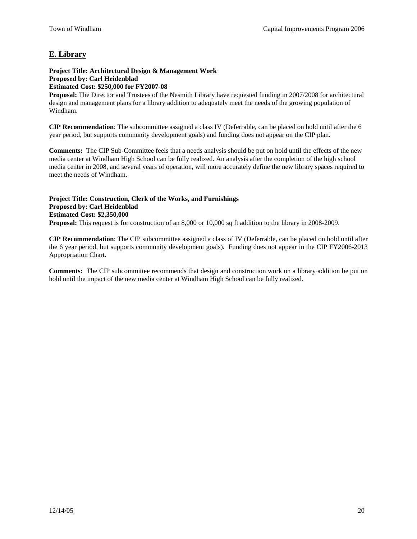## **E. Library**

#### **Project Title: Architectural Design & Management Work Proposed by: Carl Heidenblad Estimated Cost: \$250,000 for FY2007-08**

**Proposal:** The Director and Trustees of the Nesmith Library have requested funding in 2007/2008 for architectural design and management plans for a library addition to adequately meet the needs of the growing population of Windham.

**CIP Recommendation**: The subcommittee assigned a class IV (Deferrable, can be placed on hold until after the 6 year period, but supports community development goals) and funding does not appear on the CIP plan.

**Comments:** The CIP Sub-Committee feels that a needs analysis should be put on hold until the effects of the new media center at Windham High School can be fully realized. An analysis after the completion of the high school media center in 2008, and several years of operation, will more accurately define the new library spaces required to meet the needs of Windham.

#### **Project Title: Construction, Clerk of the Works, and Furnishings Proposed by: Carl Heidenblad Estimated Cost: \$2,350,000 Proposal:** This request is for construction of an 8,000 or 10,000 sq ft addition to the library in 2008-2009.

**CIP Recommendation**: The CIP subcommittee assigned a class of IV (Deferrable, can be placed on hold until after the 6 year period, but supports community development goals). Funding does not appear in the CIP FY2006-2013 Appropriation Chart.

**Comments:** The CIP subcommittee recommends that design and construction work on a library addition be put on hold until the impact of the new media center at Windham High School can be fully realized.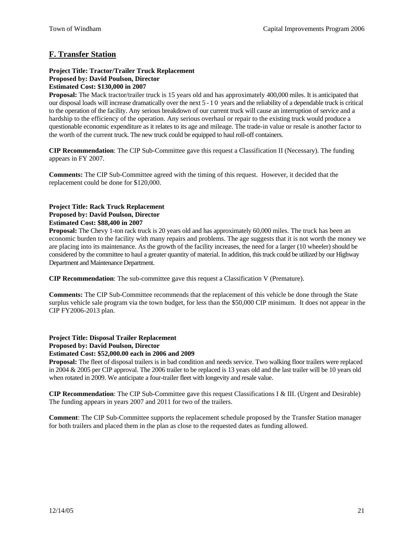## **F. Transfer Station**

#### **Project Title: Tractor/Trailer Truck Replacement Proposed by: David Poulson, Director Estimated Cost: \$130,000 in 2007**

**Proposal:** The Mack tractor/trailer truck is 15 years old and has approximately 400,000 miles. It is anticipated that our disposal loads will increase dramatically over the next 5 - 1 0 years and the reliability of a dependable truck is critical to the operation of the facility. Any serious breakdown of our current truck will cause an interruption of service and a hardship to the efficiency of the operation. Any serious overhaul or repair to the existing truck would produce a questionable economic expenditure as it relates to its age and mileage. The trade-in value or resale is another factor to the worth of the current truck. The new truck could be equipped to haul roll-off containers.

**CIP Recommendation**: The CIP Sub-Committee gave this request a Classification II (Necessary). The funding appears in FY 2007.

**Comments:** The CIP Sub-Committee agreed with the timing of this request. However, it decided that the replacement could be done for \$120,000.

### **Project Title: Rack Truck Replacement Proposed by: David Poulson, Director Estimated Cost: \$88,400 in 2007**

**Proposal:** The Chevy 1-ton rack truck is 20 years old and has approximately 60,000 miles. The truck has been an economic burden to the facility with many repairs and problems. The age suggests that it is not worth the money we are placing into its maintenance. As the growth of the facility increases, the need for a larger (10 wheeler) should be considered by the committee to haul a greater quantity of material. In addition, thistruck could be utilized by our Highway Department and Maintenance Department.

**CIP Recommendation**: The sub-committee gave this request a Classification V (Premature).

**Comments:** The CIP Sub-Committee recommends that the replacement of this vehicle be done through the State surplus vehicle sale program via the town budget, for less than the \$50,000 CIP minimum. It does not appear in the CIP FY2006-2013 plan.

## **Project Title: Disposal Trailer Replacement Proposed by: David Poulson, Director**

**Estimated Cost: \$52,000.00 each in 2006 and 2009** 

**Proposal:** The fleet of disposal trailers is in bad condition and needs service. Two walking floor trailers were replaced in 2004 & 2005 per CIP approval. The 2006 trailer to be replaced is 13 years old and the last trailer will be 10 years old when rotated in 2009. We anticipate a four-trailer fleet with longevity and resale value.

**CIP Recommendation**: The CIP Sub-Committee gave this request Classifications I & III. (Urgent and Desirable) The funding appears in years 2007 and 2011 for two of the trailers.

**Comment**: The CIP Sub-Committee supports the replacement schedule proposed by the Transfer Station manager for both trailers and placed them in the plan as close to the requested dates as funding allowed.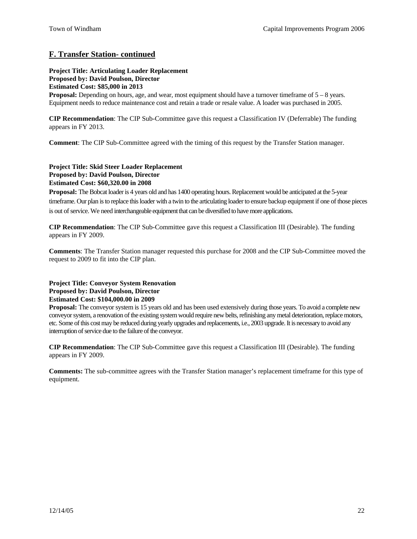## **F. Transfer Station- continued**

**Project Title: Articulating Loader Replacement Proposed by: David Poulson, Director Estimated Cost: \$85,000 in 2013** 

**Proposal:** Depending on hours, age, and wear, most equipment should have a turnover timeframe of  $5 - 8$  years. Equipment needs to reduce maintenance cost and retain a trade or resale value. A loader was purchased in 2005.

**CIP Recommendation**: The CIP Sub-Committee gave this request a Classification IV (Deferrable) The funding appears in FY 2013.

**Comment**: The CIP Sub-Committee agreed with the timing of this request by the Transfer Station manager.

#### **Project Title: Skid Steer Loader Replacement Proposed by: David Poulson, Director Estimated Cost: \$60,320.00 in 2008**

**Proposal:** The Bobcat loader is 4 years old and has 1400 operating hours. Replacement would be anticipated at the 5-year timeframe. Our plan is to replace this loader with a twin to the articulating loader to ensure backup equipment if one of those pieces is out of service. We need interchangeable equipmentthat can be diversified to have more applications.

**CIP Recommendation**: The CIP Sub-Committee gave this request a Classification III (Desirable). The funding appears in FY 2009.

**Comments**: The Transfer Station manager requested this purchase for 2008 and the CIP Sub-Committee moved the request to 2009 to fit into the CIP plan.

## **Project Title: Conveyor System Renovation Proposed by: David Poulson, Director Estimated Cost: \$104,000.00 in 2009**

**Proposal:** The conveyor system is 15 years old and has been used extensively during those years. To avoid a complete new conveyor system, a renovation of the existing system would require new belts, refinishing any metal deterioration, replace motors, etc. Some ofthis cost may be reduced during yearly upgrades and replacements, i.e., 2003 upgrade. It is necessary to avoid any interruption of service due to the failure of the conveyor.

**CIP Recommendation**: The CIP Sub-Committee gave this request a Classification III (Desirable). The funding appears in FY 2009.

**Comments:** The sub-committee agrees with the Transfer Station manager's replacement timeframe for this type of equipment.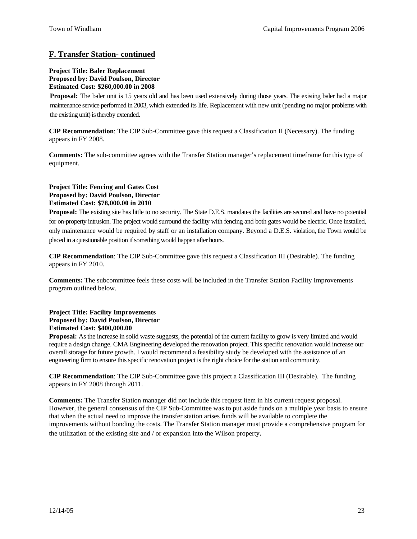## **F. Transfer Station- continued**

#### **Project Title: Baler Replacement Proposed by: David Poulson, Director Estimated Cost: \$260,000.00 in 2008**

**Proposal:** The baler unit is 15 years old and has been used extensively during those years. The existing baler had a major maintenance service performed in 2003, which extended its life. Replacement with new unit (pending no major problems with the existing unit) is thereby extended.

**CIP Recommendation**: The CIP Sub-Committee gave this request a Classification II (Necessary). The funding appears in FY 2008.

**Comments:** The sub-committee agrees with the Transfer Station manager's replacement timeframe for this type of equipment.

#### **Project Title: Fencing and Gates Cost Proposed by: David Poulson, Director Estimated Cost: \$78,000.00 in 2010**

**Proposal:** The existing site has little to no security. The State D.E.S. mandates the facilities are secured and have no potential for on-property intrusion. The project would surround the facility with fencing and both gates would be electric. Once installed, only maintenance would be required by staff or an installation company. Beyond a D.E.S. violation, the Town would be placed in a questionable position if something would happen after hours.

**CIP Recommendation**: The CIP Sub-Committee gave this request a Classification III (Desirable). The funding appears in FY 2010.

**Comments:** The subcommittee feels these costs will be included in the Transfer Station Facility Improvements program outlined below.

#### **Project Title: Facility Improvements Proposed by: David Poulson, Director Estimated Cost: \$400,000.00**

**Proposal:** As the increase in solid waste suggests, the potential of the current facility to grow is very limited and would require a design change. CMA Engineering developed the renovation project. This specific renovation would increase our overall storage for future growth. I would recommend a feasibility study be developed with the assistance of an engineering firm to ensure this specific renovation project is the right choice for the station and community.

**CIP Recommendation**: The CIP Sub-Committee gave this project a Classification III (Desirable). The funding appears in FY 2008 through 2011.

**Comments:** The Transfer Station manager did not include this request item in his current request proposal. However, the general consensus of the CIP Sub-Committee was to put aside funds on a multiple year basis to ensure that when the actual need to improve the transfer station arises funds will be available to complete the improvements without bonding the costs. The Transfer Station manager must provide a comprehensive program for the utilization of the existing site and / or expansion into the Wilson property.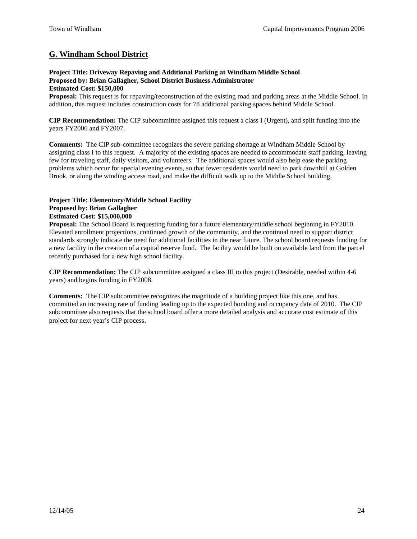## **G. Windham School District**

#### **Project Title: Driveway Repaving and Additional Parking at Windham Middle School Proposed by: Brian Gallagher, School District Business Administrator Estimated Cost: \$150,000**

**Proposal:** This request is for repaving/reconstruction of the existing road and parking areas at the Middle School. In addition, this request includes construction costs for 78 additional parking spaces behind Middle School.

**CIP Recommendation:** The CIP subcommittee assigned this request a class I (Urgent), and split funding into the years FY2006 and FY2007.

**Comments:** The CIP sub-committee recognizes the severe parking shortage at Windham Middle School by assigning class I to this request. A majority of the existing spaces are needed to accommodate staff parking, leaving few for traveling staff, daily visitors, and volunteers. The additional spaces would also help ease the parking problems which occur for special evening events, so that fewer residents would need to park downhill at Golden Brook, or along the winding access road, and make the difficult walk up to the Middle School building.

#### **Project Title: Elementary/Middle School Facility Proposed by: Brian Gallagher Estimated Cost: \$15,000,000**

**Proposal:** The School Board is requesting funding for a future elementary/middle school beginning in FY2010. Elevated enrollment projections, continued growth of the community, and the continual need to support district standards strongly indicate the need for additional facilities in the near future. The school board requests funding for a new facility in the creation of a capital reserve fund. The facility would be built on available land from the parcel recently purchased for a new high school facility.

**CIP Recommendation:** The CIP subcommittee assigned a class III to this project (Desirable, needed within 4-6 years) and begins funding in FY2008.

**Comments:** The CIP subcommittee recognizes the magnitude of a building project like this one, and has committed an increasing rate of funding leading up to the expected bonding and occupancy date of 2010. The CIP subcommittee also requests that the school board offer a more detailed analysis and accurate cost estimate of this project for next year's CIP process.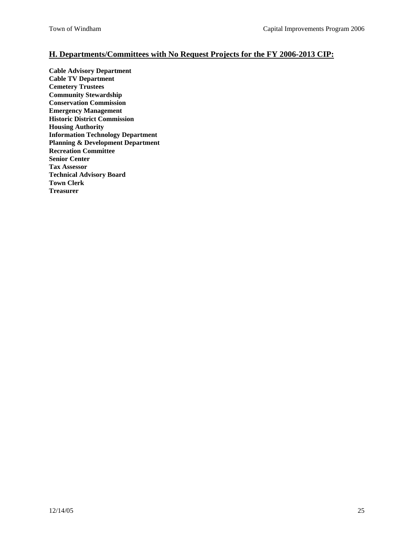## **H. Departments/Committees with No Request Projects for the FY 2006-2013 CIP:**

**Cable Advisory Department Cable TV Department Cemetery Trustees Community Stewardship Conservation Commission Emergency Management Historic District Commission Housing Authority Information Technology Department Planning & Development Department Recreation Committee Senior Center Tax Assessor Technical Advisory Board Town Clerk Treasurer**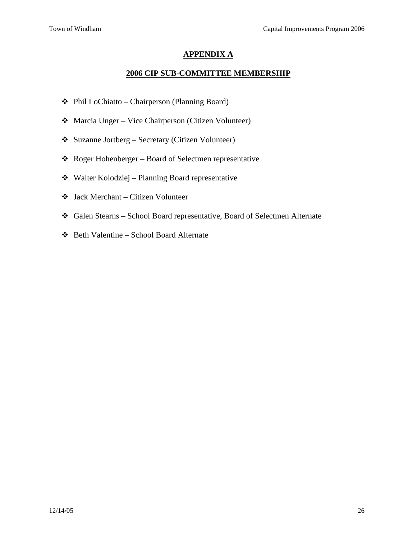## **APPENDIX A**

## **2006 CIP SUB-COMMITTEE MEMBERSHIP**

- Phil LoChiatto Chairperson (Planning Board)
- Marcia Unger Vice Chairperson (Citizen Volunteer)
- Suzanne Jortberg Secretary (Citizen Volunteer)
- Roger Hohenberger Board of Selectmen representative
- Walter Kolodziej Planning Board representative
- Jack Merchant Citizen Volunteer
- Galen Stearns School Board representative, Board of Selectmen Alternate
- Beth Valentine School Board Alternate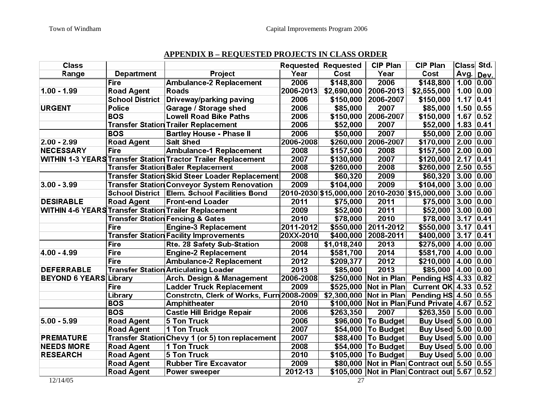## **APPENDIX B – REQUESTED PROJECTS IN CLASS ORDER**

| <b>Class</b>                  |                        |                                                                      |             | <b>Requested Requested</b>                    | <b>CIP Plan</b>        | <b>CIP Plan</b>                             | Class Std.                          |                   |
|-------------------------------|------------------------|----------------------------------------------------------------------|-------------|-----------------------------------------------|------------------------|---------------------------------------------|-------------------------------------|-------------------|
| Range                         | <b>Department</b>      | Project                                                              | Year        | Cost                                          | Year                   | Cost                                        | Avg.                                | Dev.              |
|                               | <b>Fire</b>            | Ambulance-2 Replacement                                              | 2006        | \$148,800                                     | 2006                   | \$148,800                                   | 1.00   0.00                         |                   |
| $1.00 - 1.99$                 | <b>Road Agent</b>      | <b>Roads</b>                                                         | 2006-2013   | \$2,690,000                                   | 2006-2013              | \$2,655,000                                 | 1.00                                | 0.00              |
|                               | <b>School District</b> | Driveway/parking paving                                              | 2006        | \$150,000                                     | 2006-2007              | \$150,000                                   | 1.17                                | 0.41              |
| <b>URGENT</b>                 | Police                 | Garage / Storage shed                                                | 2006        | \$85,000                                      | 2007                   | \$85,000                                    | 1.50                                | 0.55              |
|                               | <b>BOS</b>             | <b>Lowell Road Bike Paths</b>                                        | 2006        | \$150,000                                     | 2006-2007              | \$150,000                                   | 1.67                                | 0.52              |
|                               |                        | <b>Transfer Station Trailer Replacement</b>                          | 2006        | \$52,000                                      | 2007                   | \$52,000                                    | 1.83                                | $ 0.41\rangle$    |
|                               | <b>BOS</b>             | <b>Bartley House - Phase II</b>                                      | 2006        | \$50,000                                      | 2007                   | \$50,000                                    | $\begin{array}{c} \end{array}$ 2.00 | 0.00              |
| $2.00 - 2.99$                 | <b>Road Agent</b>      | <b>Salt Shed</b>                                                     | 2006-2008   |                                               | \$260,000   2006-2007  | $$170,000$   2.00                           |                                     | 0.00              |
| <b>NECESSARY</b>              | <b>Fire</b>            | <b>Ambulance-1 Replacement</b>                                       | 2008        | \$157,500                                     | 2008                   | $$157,500$ 2.00                             |                                     | 0.00              |
|                               |                        | <b>WITHIN 1-3 YEARS Transfer Station Tractor Trailer Replacement</b> | 2007        | \$130,000                                     | 2007                   | \$120,000                                   | 2.17                                | $\overline{0.41}$ |
|                               |                        | <b>Transfer Station Baler Replacement</b>                            | 2008        | \$260,000                                     | 2008                   | \$260,000                                   | 2.50                                | 0.55              |
|                               |                        | <b>Transfer Station Skid Steer Loader Replacement</b>                | 2008        | \$60,320                                      | 2009                   | \$60,320                                    | $ 3.00 $                            | 0.00              |
| $3.00 - 3.99$                 |                        | <b>Transfer Station Conveyor System Renovation</b>                   | 2009        | \$104,000                                     | 2009                   | $$104,000$ 3.00 0.00                        |                                     |                   |
|                               |                        | School District   Elem. School Facilities Bond                       |             | 2010-2030 \$15,000,000 2010-2030 \$15,000,000 |                        |                                             | 3.00 0.00                           |                   |
| <b>DESIRABLE</b>              | <b>Road Agent</b>      | <b>Front-end Loader</b>                                              | 2011        | \$75,000                                      | 2011                   | \$75,000                                    | 3.00 0.00                           |                   |
|                               |                        | <b>WITHIN 4-6 YEARS Transfer Station Trailer Replacement</b>         | 2009        | \$52,000                                      | 2011                   | $$52,000$ 3.00 0.00                         |                                     |                   |
|                               |                        | <b>Transfer Station Fencing &amp; Gates</b>                          | 2010        | \$78,000                                      | 2010                   | $$78,000$   3.17                            |                                     | $\overline{0.41}$ |
|                               | Fire                   | <b>Engine-3 Replacement</b>                                          | 2011-2012   |                                               | \$550,000 2011-2012    | $$550,000$   3.17                           |                                     | $ 0.41\rangle$    |
|                               |                        | <b>Transfer Station Facility Improvements</b>                        | 20XX-2010   | \$400,000                                     | 2008-2011              | \$400,000                                   | 3.17                                | 0.41              |
|                               | <b>Fire</b>            | Rte. 28 Safety Sub-Station                                           | 2008        | \$1,018,240                                   | $\overline{2013}$      | \$275,000                                   | 4.00                                | 0.00              |
| $4.00 - 4.99$                 | <b>Fire</b>            | <b>Engine-2 Replacement</b>                                          | 2014        | \$581,700                                     | 2014                   | $$581,700$   4.00   0.00                    |                                     |                   |
|                               | <b>Fire</b>            | <b>Ambulance-2 Replacement</b>                                       | 2012        | \$209,377                                     | 2012                   | $$210,000$   4.00 0.00                      |                                     |                   |
| <b>DEFERRABLE</b>             |                        | <b>Transfer Station Articulating Loader</b>                          | 2013        | \$85,000                                      | 2013                   | $$85,000$   4.00   0.00                     |                                     |                   |
| <b>BEYOND 6 YEARS Library</b> |                        | <b>Arch. Design &amp; Management</b>                                 | 2006-2008   |                                               | \$250,000 Not in Plan  | Pending HS $4.33$ 0.82                      |                                     |                   |
|                               | <b>Fire</b>            | <b>Ladder Truck Replacement</b>                                      | 2009        |                                               | \$525,000 Not in Plan  | Current OK 4.33 0.52                        |                                     |                   |
|                               | Library                | Constrctn, Clerk of Works, Furn 2008-2009                            |             | \$2,300,000 Not in Plan                       |                        | Pending HS $4.50$ 0.55                      |                                     |                   |
|                               | <b>BOS</b>             | <b>Amphitheater</b>                                                  | 2010        |                                               |                        | \$100,000 Not in Plan Fund Private 4.67     |                                     | 0.52              |
|                               | <b>BOS</b>             | <b>Castle Hill Bridge Repair</b>                                     | 2006        | \$263,350                                     | 2007                   | $$263,350$   5.00   0.00                    |                                     |                   |
| $5.00 - 5.99$                 | <b>Road Agent</b>      | 5 Ton Truck                                                          | 2006        |                                               | \$96,000   To Budget   | Buy Used 5.00 0.00                          |                                     |                   |
|                               | <b>Road Agent</b>      | 1 Ton Truck                                                          | 2007        |                                               | \$54,000   To Budget   | Buy Used 5.00 0.00                          |                                     |                   |
| <b>PREMATURE</b>              |                        | Transfer Station Chevy 1 (or 5) ton replacement                      | 2007        |                                               | \$88,400 To Budget     | Buy Used 5.00 0.00                          |                                     |                   |
| <b>NEEDS MORE</b>             | <b>Road Agent</b>      | 1 Ton Truck                                                          | 2008        |                                               | $$54,000$   To Budget  | Buy Used 5.00 0.00                          |                                     |                   |
| <b>RESEARCH</b>               | <b>Road Agent</b>      | $5$ Ton Truck                                                        | 2010        |                                               | $$105,000$   To Budget | Buy Used 5.00 0.00                          |                                     |                   |
|                               | <b>Road Agent</b>      | <b>Rubber Tire Excavator</b>                                         | 2009        |                                               |                        | \$80,000 Not in Plan Contract out 5.50 0.55 |                                     |                   |
|                               | <b>Road Agent</b>      | <b>Power sweeper</b>                                                 | $2012 - 13$ |                                               |                        | \$105,000 Not in Plan Contract out 5.67     |                                     | $ 0.52\rangle$    |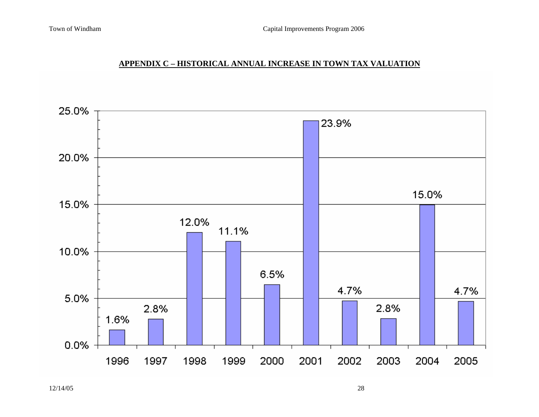## **APPENDIX C – HISTORICAL ANNUAL INCREASE IN TOWN TAX VALUATION**

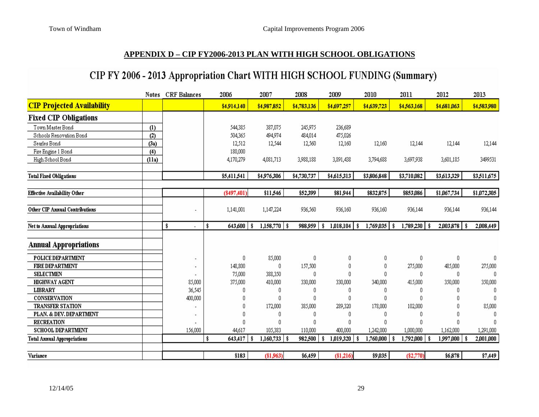## **APPENDIX D – CIP FY2006-2013 PLAN WITH HIGH SCHOOL OBLIGATIONS**

## CIP FY 2006 - 2013 Appropriation Chart WITH HIGH SCHOOL FUNDING (Summary)

|                                     | Notes | <b>CRF</b> Balances | 2006          | 2007                   | 2008        | 2009            | 2010             | 2011           | 2012             | 2013        |
|-------------------------------------|-------|---------------------|---------------|------------------------|-------------|-----------------|------------------|----------------|------------------|-------------|
| <b>CIP Projected Availability</b>   |       |                     | \$4,914,140   | \$4,987,852            | \$4,783,136 | \$4,697,257     | \$4,639,723      | \$4,563,168    | \$4,681,063      | \$4,583,980 |
| <b>Fixed CIP Obligations</b>        |       |                     |               |                        |             |                 |                  |                |                  |             |
| Town Master Bond                    | (1)   |                     | 544,385       | 387,075                | 245,975     | 236,689         |                  |                |                  |             |
| Schools Renovation Bond             | (2)   |                     | 504,365       | 494,974                | 484,014     | 475,026         |                  |                |                  |             |
| Searles Bond                        | (3a)  |                     | 12,512        | 12,544                 | 12,560      | 12,160          | 12,160           | 12,144         | 12,144           | 12,144      |
| Fire Engine 1 Bond                  | (4)   |                     | 180,000       |                        |             |                 |                  |                |                  |             |
| High School Bond                    | (11a) |                     | 4,170,279     | 4,081,713              | 3,988,188   | 3,891,438       | 3,794,688        | 3,697,938      | 3,601,185        | 3499531     |
| <b>Total Fixed Obligations</b>      |       |                     | \$5,411,541   | \$4,976,306            | \$4,730,737 | \$4,615,313     | \$3,806,848      | \$3,710,082    | \$3,613,329      | \$3,511,675 |
| <b>Effective Availability Other</b> |       |                     | $(*497,401)$  | \$11,546               | \$52,399    | \$81,944        | \$832,875        | \$853,086      | \$1,067,734      | \$1,072,305 |
| Other CIP Annual Contributions      |       |                     | 1,141,001     | 1,147,224              | 936,560     | 936,160         | 936,160          | 936,144        | 936,144          | 936,144     |
| Net to Annual Appropriations        |       | \$                  | 643,600<br>S  | $1,158,770$   \$<br>-8 | 988,959     | 1,018,104<br>\$ | $1,769,035$   \$ | 1,789,230   \$ |                  | 2,008,449   |
| <b>Annual Appropriations</b>        |       |                     |               |                        |             |                 |                  |                |                  |             |
| POLICE DEPARTMENT                   |       |                     | 0             | 85,000                 | 0           | 0               | 0                | 0              | 0                | 0           |
| <b>FIRE DEPARTMENT</b>              |       |                     | 148,800       | $\bigcap$              | 157,500     | 0               | 0                | 275,000        | 485,000          | 275,000     |
| <b>SELECTMEN</b>                    |       |                     | 75,000        | 388,350                | n           | $\mathbf 0$     | 0                | 0              | 0                | 0.          |
| <b>HIGHWAY AGENT</b>                |       | 85,000              | 375,000       | 410,000                | 330,000     | 330,000         | 340,000          | 415,000        | 350,000          | 350,000     |
| <b>LIBRARY</b>                      |       | 36,545              | n             |                        |             | 0               | 0                | 0              | n                | n           |
| CONSERVATION                        |       | 400,000             |               |                        |             | $\mathbf 0$     | 0                | 0              |                  | 0.          |
| <b>TRANSFER STATION</b>             |       |                     |               | 172,000                | 385,000     | 289,320         | 178,000          | 102,000        | n                | 85,000      |
| PLAN. & DEV. DEPARTMENT             |       |                     |               |                        |             | 0               | O                | 0              | n                |             |
| <b>RECREATION</b>                   |       |                     |               |                        |             | 0               | n                | $\Omega$       | n                | n           |
| <b>SCHOOL DEPARTMENT</b>            |       | 156,000             | 44,617        | 105,383                | 110,000     | 400,000         | 1,242,000        | 1,000,000      | 1,162,000        | 1,291,000   |
| <b>Total Annual Appropriations</b>  |       |                     | 643,417<br>\$ | $1,160,733$   \$<br>-9 | 982,500     | 1,019,320       | 1,760,000        | 792,000,<br>\$ | $1,997,000$   \$ | 2,001,000   |
|                                     |       |                     |               |                        |             |                 |                  |                |                  |             |
| Variance                            |       |                     | \$183         | (\$1,963)              | \$6,459     | (\$1,216)       | \$9,035          | $(\$2,770)$    | \$6,878          | \$7,449     |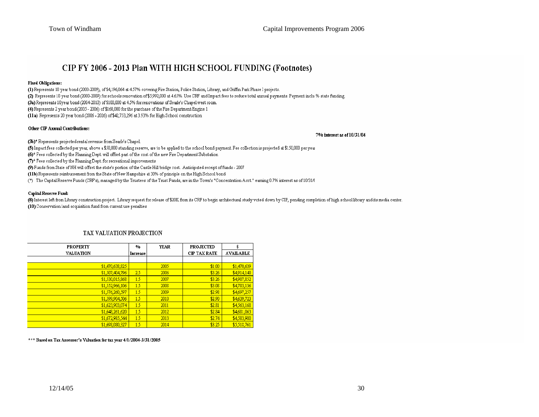## CIP FY 2006 - 2013 Plan WITH HIGH SCHOOL FUNDING (Footnotes)

#### **Fixed Obligations:**

(1) Represents 10 year bond (2000-2009), of \$4,196,064 at 4.57% covering Fire Station, Police Station, Library, and Griffin Park Phase I projects. (2) Represents 10 year bond (2000-2009) for schools renovation of \$5,992,000 at 4.65%. Use CRF and Impact fees to reduce total annual payments. Payment inclu % state funding. (3a) Represents 10year bond (2004-2010) of \$100,000 at 4.5% for renovations of Searle's Chapel west room. (4) Represents 2 year bond (2005 - 2006) of \$160,000 for the purchase of the Fire Department Engine 1 (11a) Represents 20 year bond (2006 - 2026) of \$42,753,296 at 3.93% for High School construction

#### Other CIP Annual Contributions:

#### 7% interest as of 10/31/04

(3b)\* Represents projected rental revenue from Searle's Chapel.

(5) Impact fees collected per year, above a \$50,000 standing reserve, are to be applied to the school bond payment. Fee collection is projected at \$150,000 per year

 $(6)^*$  Fees collected by the Planning Dept. will offset part of the cost of the new Fire Department Substation

 $(7)^*$  Fees collected by the Planning Dept. for recreational improvements

(9) Funds from State of NH will offset the state's portion of the Castle Hill bridge cost. Anticipated receipt of funds - 2007

(11b) Represents reimbursement from the State of New Hampshire at 30% of principle on the High School bond

(\*) The Capital Reserve Funds (CRF's), managed by the Trustees of the Trust Funds, are in the Town's "Concentration Acct." earning 0.7% interest as of 10/31/(

#### Capital Reserve Fund:

(8) Interest left from Library construction project. Library request for release of \$20K from its CRF to begin architectural study voted down by CIP, pending completion of high school library and its media center.  $(10)$  Conservation land acquisition fund from current use penalties

| <b>PROPERTY</b>  | %        | <b>YEAR</b> | <b>PROJECTED</b>    | \$               |
|------------------|----------|-------------|---------------------|------------------|
| <b>VALUATION</b> | Increase |             | <b>CIP TAX RATE</b> | <b>AVAILABLE</b> |
|                  |          |             |                     |                  |
| \$1,470,638,825  |          | 2005        | \$1.00              | \$1,470,639      |
| \$1,507,404,796  | 25       | 2006        | \$3.26              | \$4,914,140      |
| \$1,530,015,868  | 1.5      | 2007        | \$3.26              | \$4,987,852      |
| \$1,552,966,106  | 1.5      | 2008        | \$3.08              | \$4,783,136      |
| \$1,576,260,597  | 1.5      | 2009        | \$2.98              | \$4,697,257      |
| \$1,599,904,506  | 1.5      | 2010        | \$2.90              | \$4,639,723      |
| \$1,623,903,074  | 1.5      | 2011        | \$2.81              | \$4,563,168      |
| \$1,648,261,620  | 1.5      | 2012        | \$2.84              | \$4,681,063      |
| \$1,672,985,544  | 1.5      | 2013        | \$2.74              | \$4,583,980      |
| \$1,698,080,327  | 1.5      | 2014        | \$3.25              | \$5,518.761      |

#### TAX VALUATION PROJECTION

\*\*\* Based on Tax Assessor's Valuation for tax year 4/1/2004-3/31/2005